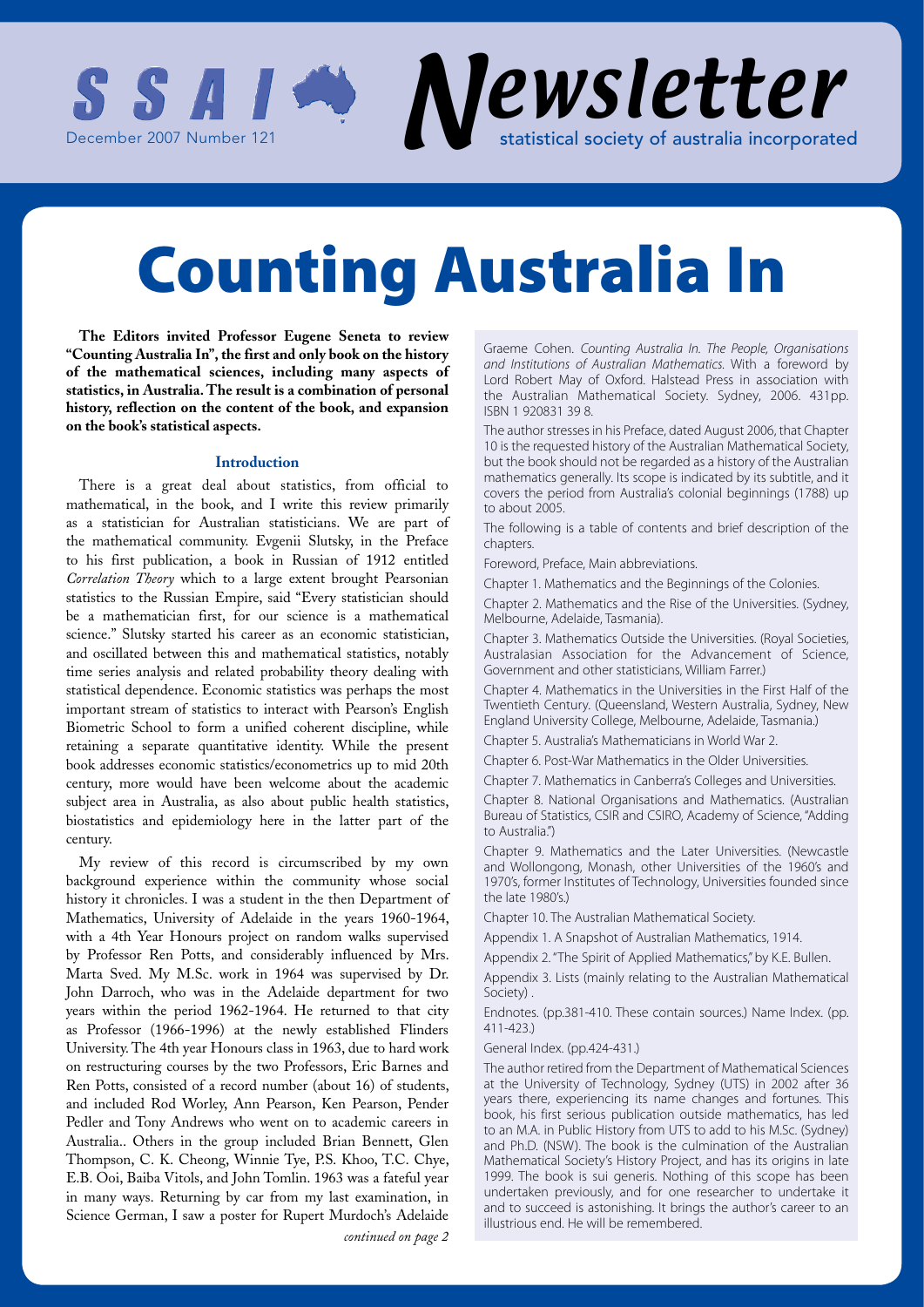

**The Editors invited Professor Eugene Seneta to review "Counting Australia In", the first and only book on the history of the mathematical sciences, including many aspects of statistics, in Australia. The result is a combination of personal history, reflection on the content of the book, and expansion on the book's statistical aspects.** 

#### **Introduction**

There is a great deal about statistics, from official to mathematical, in the book, and I write this review primarily as a statistician for Australian statisticians. We are part of the mathematical community. Evgenii Slutsky, in the Preface to his first publication, a book in Russian of 1912 entitled *Correlation Theory* which to a large extent brought Pearsonian statistics to the Russian Empire, said "Every statistician should be a mathematician first, for our science is a mathematical science." Slutsky started his career as an economic statistician, and oscillated between this and mathematical statistics, notably time series analysis and related probability theory dealing with statistical dependence. Economic statistics was perhaps the most important stream of statistics to interact with Pearson's English Biometric School to form a unified coherent discipline, while retaining a separate quantitative identity. While the present book addresses economic statistics/econometrics up to mid 20th century, more would have been welcome about the academic subject area in Australia, as also about public health statistics, biostatistics and epidemiology here in the latter part of the century.

My review of this record is circumscribed by my own background experience within the community whose social history it chronicles. I was a student in the then Department of Mathematics, University of Adelaide in the years 1960-1964, with a 4th Year Honours project on random walks supervised by Professor Ren Potts, and considerably influenced by Mrs. Marta Sved. My M.Sc. work in 1964 was supervised by Dr. John Darroch, who was in the Adelaide department for two years within the period 1962-1964. He returned to that city as Professor (1966-1996) at the newly established Flinders University. The 4th year Honours class in 1963, due to hard work on restructuring courses by the two Professors, Eric Barnes and Ren Potts, consisted of a record number (about 16) of students, and included Rod Worley, Ann Pearson, Ken Pearson, Pender Pedler and Tony Andrews who went on to academic careers in Australia.. Others in the group included Brian Bennett, Glen Thompson, C. K. Cheong, Winnie Tye, P.S. Khoo, T.C. Chye, E.B. Ooi, Baiba Vitols, and John Tomlin. 1963 was a fateful year in many ways. Returning by car from my last examination, in Science German, I saw a poster for Rupert Murdoch's Adelaide *continued on page 2*

Graeme Cohen. *Counting Australia In. The People, Organisations and Institutions of Australian Mathematics.* With a foreword by Lord Robert May of Oxford. Halstead Press in association with the Australian Mathematical Society. Sydney, 2006. 431pp. ISBN 1 920831 39 8.

The author stresses in his Preface, dated August 2006, that Chapter 10 is the requested history of the Australian Mathematical Society, but the book should not be regarded as a history of the Australian mathematics generally. Its scope is indicated by its subtitle, and it covers the period from Australia's colonial beginnings (1788) up to about 2005.

The following is a table of contents and brief description of the chapters

Foreword, Preface, Main abbreviations.

Chapter 1. Mathematics and the Beginnings of the Colonies.

Chapter 2. Mathematics and the Rise of the Universities. (Sydney, Melbourne, Adelaide, Tasmania).

Chapter 3. Mathematics Outside the Universities. (Royal Societies, Australasian Association for the Advancement of Science, Government and other statisticians, William Farrer.)

Chapter 4. Mathematics in the Universities in the First Half of the Twentieth Century. (Queensland, Western Australia, Sydney, New England University College, Melbourne, Adelaide, Tasmania.)

Chapter 5. Australia's Mathematicians in World War 2.

Chapter 6. Post-War Mathematics in the Older Universities.

Chapter 7. Mathematics in Canberra's Colleges and Universities.

Chapter 8. National Organisations and Mathematics. (Australian Bureau of Statistics, CSIR and CSIRO, Academy of Science, "Adding to Australia.")

Chapter 9. Mathematics and the Later Universities. (Newcastle and Wollongong, Monash, other Universities of the 1960's and 1970's, former Institutes of Technology, Universities founded since the late 1980's.)

Chapter 10. The Australian Mathematical Society.

Appendix 1. A Snapshot of Australian Mathematics, 1914.

Appendix 2. "The Spirit of Applied Mathematics," by K.E. Bullen.

Appendix 3. Lists (mainly relating to the Australian Mathematical Society) .

Endnotes. (pp.381-410. These contain sources.) Name Index. (pp. 411-423.)

General Index. (pp.424-431.)

The author retired from the Department of Mathematical Sciences at the University of Technology, Sydney (UTS) in 2002 after 36 years there, experiencing its name changes and fortunes. This book, his first serious publication outside mathematics, has led to an M.A. in Public History from UTS to add to his M.Sc. (Sydney) and Ph.D. (NSW). The book is the culmination of the Australian Mathematical Society's History Project, and has its origins in late 1999. The book is sui generis. Nothing of this scope has been undertaken previously, and for one researcher to undertake it and to succeed is astonishing. It brings the author's career to an illustrious end. He will be remembered.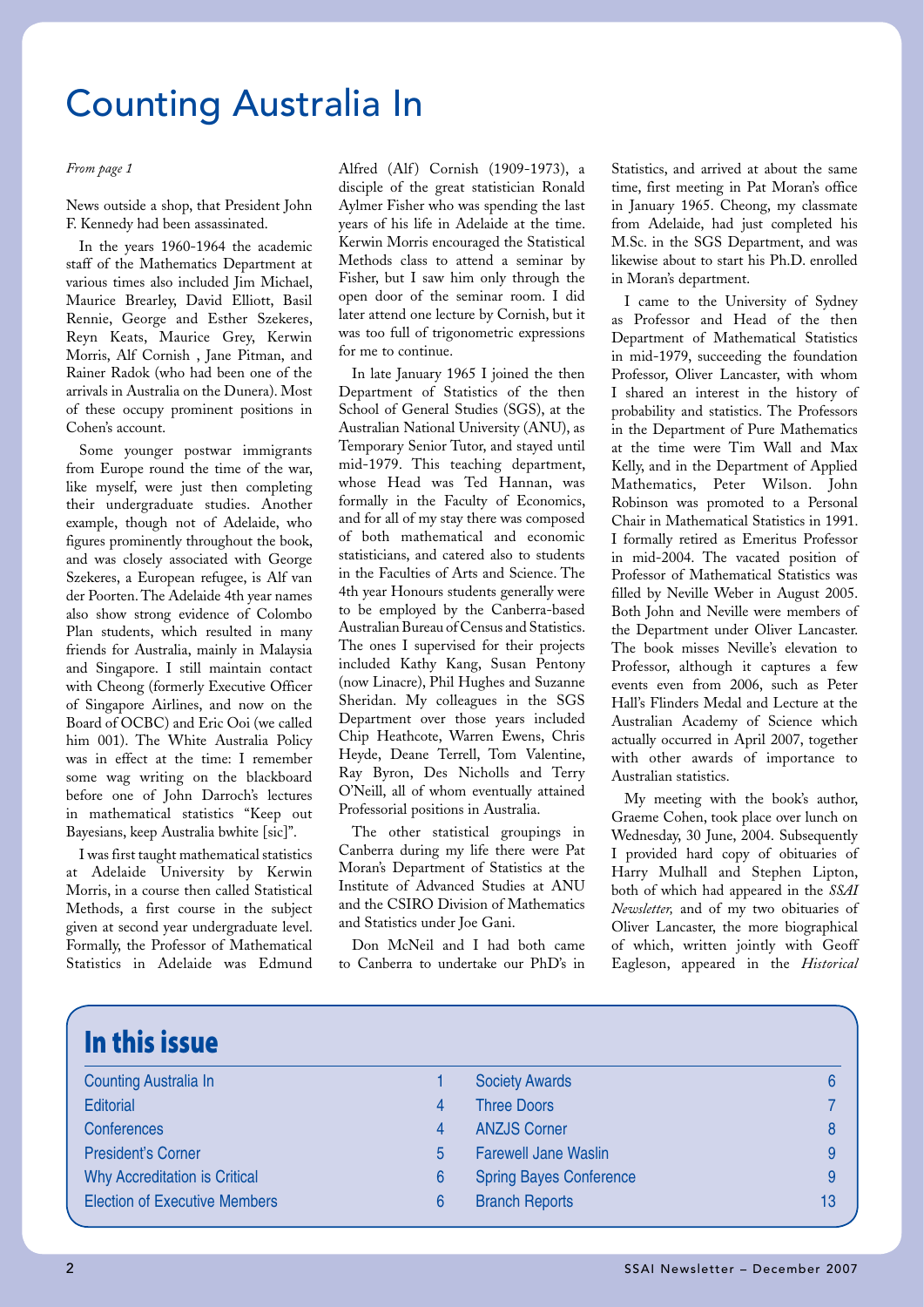News outside a shop, that President John F. Kennedy had been assassinated.

In the years 1960-1964 the academic staff of the Mathematics Department at various times also included Jim Michael, Maurice Brearley, David Elliott, Basil Rennie, George and Esther Szekeres, Reyn Keats, Maurice Grey, Kerwin Morris, Alf Cornish , Jane Pitman, and Rainer Radok (who had been one of the arrivals in Australia on the Dunera). Most of these occupy prominent positions in Cohen's account.

Some younger postwar immigrants from Europe round the time of the war, like myself, were just then completing their undergraduate studies. Another example, though not of Adelaide, who figures prominently throughout the book, and was closely associated with George Szekeres, a European refugee, is Alf van der Poorten. The Adelaide 4th year names also show strong evidence of Colombo Plan students, which resulted in many friends for Australia, mainly in Malaysia and Singapore. I still maintain contact with Cheong (formerly Executive Officer of Singapore Airlines, and now on the Board of OCBC) and Eric Ooi (we called him 001). The White Australia Policy was in effect at the time: I remember some wag writing on the blackboard before one of John Darroch's lectures in mathematical statistics "Keep out Bayesians, keep Australia bwhite [sic]".

I was first taught mathematical statistics at Adelaide University by Kerwin Morris, in a course then called Statistical Methods, a first course in the subject given at second year undergraduate level. Formally, the Professor of Mathematical Statistics in Adelaide was Edmund

*From page 1* Alfred (Alf) Cornish (1909-1973), a disciple of the great statistician Ronald Aylmer Fisher who was spending the last years of his life in Adelaide at the time. Kerwin Morris encouraged the Statistical Methods class to attend a seminar by Fisher, but I saw him only through the open door of the seminar room. I did later attend one lecture by Cornish, but it was too full of trigonometric expressions for me to continue.

> In late January 1965 I joined the then Department of Statistics of the then School of General Studies (SGS), at the Australian National University (ANU), as Temporary Senior Tutor, and stayed until mid-1979. This teaching department, whose Head was Ted Hannan, was formally in the Faculty of Economics, and for all of my stay there was composed of both mathematical and economic statisticians, and catered also to students in the Faculties of Arts and Science. The 4th year Honours students generally were to be employed by the Canberra-based Australian Bureau of Census and Statistics. The ones I supervised for their projects included Kathy Kang, Susan Pentony (now Linacre), Phil Hughes and Suzanne Sheridan. My colleagues in the SGS Department over those years included Chip Heathcote, Warren Ewens, Chris Heyde, Deane Terrell, Tom Valentine, Ray Byron, Des Nicholls and Terry O'Neill, all of whom eventually attained Professorial positions in Australia.

> The other statistical groupings in Canberra during my life there were Pat Moran's Department of Statistics at the Institute of Advanced Studies at ANU and the CSIRO Division of Mathematics and Statistics under Joe Gani.

> Don McNeil and I had both came to Canberra to undertake our PhD's in

Statistics, and arrived at about the same time, first meeting in Pat Moran's office in January 1965. Cheong, my classmate from Adelaide, had just completed his M.Sc. in the SGS Department, and was likewise about to start his Ph.D. enrolled in Moran's department.

I came to the University of Sydney as Professor and Head of the then Department of Mathematical Statistics in mid-1979, succeeding the foundation Professor, Oliver Lancaster, with whom I shared an interest in the history of probability and statistics. The Professors in the Department of Pure Mathematics at the time were Tim Wall and Max Kelly, and in the Department of Applied Mathematics, Peter Wilson. John Robinson was promoted to a Personal Chair in Mathematical Statistics in 1991. I formally retired as Emeritus Professor in mid-2004. The vacated position of Professor of Mathematical Statistics was filled by Neville Weber in August 2005. Both John and Neville were members of the Department under Oliver Lancaster. The book misses Neville's elevation to Professor, although it captures a few events even from 2006, such as Peter Hall's Flinders Medal and Lecture at the Australian Academy of Science which actually occurred in April 2007, together with other awards of importance to Australian statistics.

My meeting with the book's author, Graeme Cohen, took place over lunch on Wednesday, 30 June, 2004. Subsequently I provided hard copy of obituaries of Harry Mulhall and Stephen Lipton, both of which had appeared in the *SSAI Newsletter,* and of my two obituaries of Oliver Lancaster, the more biographical of which, written jointly with Geoff Eagleson, appeared in the *Historical* 

| In this issue                        |    |                                |    |
|--------------------------------------|----|--------------------------------|----|
| <b>Counting Australia In</b>         |    | <b>Society Awards</b>          | 6  |
| <b>Editorial</b>                     | 4  | <b>Three Doors</b>             |    |
| <b>Conferences</b>                   | 4  | <b>ANZJS Corner</b>            | 8  |
| <b>President's Corner</b>            | 5. | <b>Farewell Jane Waslin</b>    | 9  |
| <b>Why Accreditation is Critical</b> | 6  | <b>Spring Bayes Conference</b> | 9  |
| <b>Election of Executive Members</b> | 6  | <b>Branch Reports</b>          | 13 |
|                                      |    |                                |    |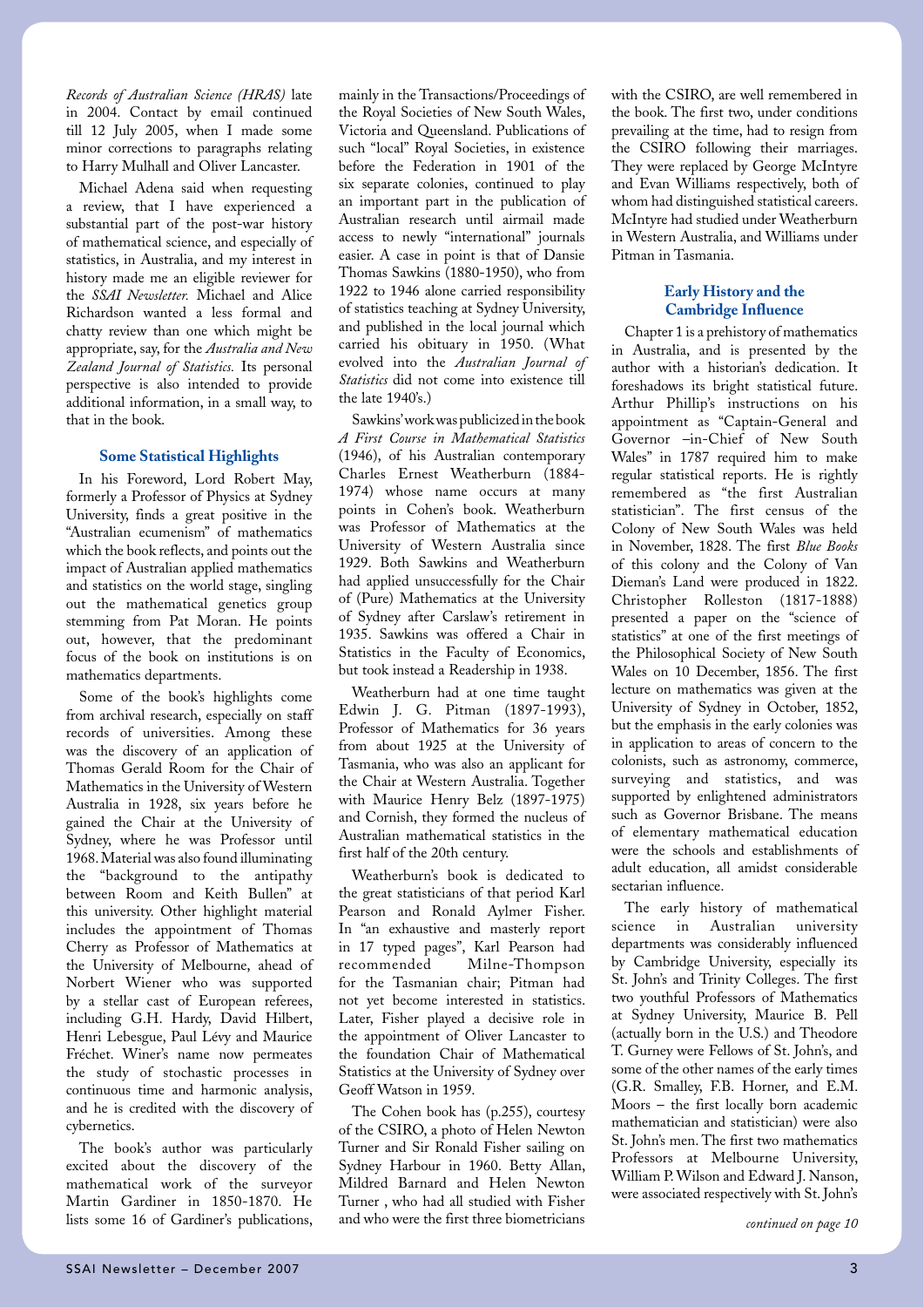*Records of Australian Science (HRAS)* late in 2004. Contact by email continued till 12 July 2005, when I made some minor corrections to paragraphs relating to Harry Mulhall and Oliver Lancaster.

Michael Adena said when requesting a review, that I have experienced a substantial part of the post-war history of mathematical science, and especially of statistics, in Australia, and my interest in history made me an eligible reviewer for the *SSAI Newsletter.* Michael and Alice Richardson wanted a less formal and chatty review than one which might be appropriate, say, for the *Australia and New Zealand Journal of Statistics.* Its personal perspective is also intended to provide additional information, in a small way, to that in the book.

#### **Some Statistical Highlights**

In his Foreword, Lord Robert May, formerly a Professor of Physics at Sydney University, finds a great positive in the "Australian ecumenism" of mathematics which the book reflects, and points out the impact of Australian applied mathematics and statistics on the world stage, singling out the mathematical genetics group stemming from Pat Moran. He points out, however, that the predominant focus of the book on institutions is on mathematics departments.

Some of the book's highlights come from archival research, especially on staff records of universities. Among these was the discovery of an application of Thomas Gerald Room for the Chair of Mathematics in the University of Western Australia in 1928, six years before he gained the Chair at the University of Sydney, where he was Professor until 1968. Material was also found illuminating the "background to the antipathy between Room and Keith Bullen" at this university. Other highlight material includes the appointment of Thomas Cherry as Professor of Mathematics at the University of Melbourne, ahead of Norbert Wiener who was supported by a stellar cast of European referees, including G.H. Hardy, David Hilbert, Henri Lebesgue, Paul Lévy and Maurice Fréchet. Winer's name now permeates the study of stochastic processes in continuous time and harmonic analysis, and he is credited with the discovery of cybernetics.

The book's author was particularly excited about the discovery of the mathematical work of the surveyor Martin Gardiner in 1850-1870. He lists some 16 of Gardiner's publications,

mainly in the Transactions/Proceedings of the Royal Societies of New South Wales, Victoria and Queensland. Publications of such "local" Royal Societies, in existence before the Federation in 1901 of the six separate colonies, continued to play an important part in the publication of Australian research until airmail made access to newly "international" journals easier. A case in point is that of Dansie Thomas Sawkins (1880-1950), who from 1922 to 1946 alone carried responsibility of statistics teaching at Sydney University, and published in the local journal which carried his obituary in 1950. (What evolved into the *Australian Journal of Statistics* did not come into existence till the late 1940's.)

Sawkins' work was publicized in the book *A First Course in Mathematical Statistics*  (1946), of his Australian contemporary Charles Ernest Weatherburn (1884- 1974) whose name occurs at many points in Cohen's book. Weatherburn was Professor of Mathematics at the University of Western Australia since 1929. Both Sawkins and Weatherburn had applied unsuccessfully for the Chair of (Pure) Mathematics at the University of Sydney after Carslaw's retirement in 1935. Sawkins was offered a Chair in Statistics in the Faculty of Economics, but took instead a Readership in 1938.

Weatherburn had at one time taught Edwin J. G. Pitman (1897-1993), Professor of Mathematics for 36 years from about 1925 at the University of Tasmania, who was also an applicant for the Chair at Western Australia. Together with Maurice Henry Belz (1897-1975) and Cornish, they formed the nucleus of Australian mathematical statistics in the first half of the 20th century.

Weatherburn's book is dedicated to the great statisticians of that period Karl Pearson and Ronald Aylmer Fisher. In "an exhaustive and masterly report in 17 typed pages", Karl Pearson had recommended Milne-Thompson for the Tasmanian chair; Pitman had not yet become interested in statistics. Later, Fisher played a decisive role in the appointment of Oliver Lancaster to the foundation Chair of Mathematical Statistics at the University of Sydney over Geoff Watson in 1959.

The Cohen book has (p.255), courtesy of the CSIRO, a photo of Helen Newton Turner and Sir Ronald Fisher sailing on Sydney Harbour in 1960. Betty Allan, Mildred Barnard and Helen Newton Turner , who had all studied with Fisher and who were the first three biometricians *continued on page 10*

with the CSIRO, are well remembered in the book. The first two, under conditions prevailing at the time, had to resign from the CSIRO following their marriages. They were replaced by George McIntyre and Evan Williams respectively, both of whom had distinguished statistical careers. McIntyre had studied under Weatherburn in Western Australia, and Williams under Pitman in Tasmania.

### **Early History and the Cambridge Influence**

Chapter 1 is a prehistory of mathematics in Australia, and is presented by the author with a historian's dedication. It foreshadows its bright statistical future. Arthur Phillip's instructions on his appointment as "Captain-General and Governor –in-Chief of New South Wales" in 1787 required him to make regular statistical reports. He is rightly remembered as "the first Australian statistician". The first census of the Colony of New South Wales was held in November, 1828. The first *Blue Books*  of this colony and the Colony of Van Dieman's Land were produced in 1822. Christopher Rolleston (1817-1888) presented a paper on the "science of statistics" at one of the first meetings of the Philosophical Society of New South Wales on 10 December, 1856. The first lecture on mathematics was given at the University of Sydney in October, 1852, but the emphasis in the early colonies was in application to areas of concern to the colonists, such as astronomy, commerce, surveying and statistics, and was supported by enlightened administrators such as Governor Brisbane. The means of elementary mathematical education were the schools and establishments of adult education, all amidst considerable sectarian influence.

The early history of mathematical science in Australian university departments was considerably influenced by Cambridge University, especially its St. John's and Trinity Colleges. The first two youthful Professors of Mathematics at Sydney University, Maurice B. Pell (actually born in the U.S.) and Theodore T. Gurney were Fellows of St. John's, and some of the other names of the early times (G.R. Smalley, F.B. Horner, and E.M. Moors – the first locally born academic mathematician and statistician) were also St. John's men. The first two mathematics Professors at Melbourne University, William P. Wilson and Edward J. Nanson, were associated respectively with St. John's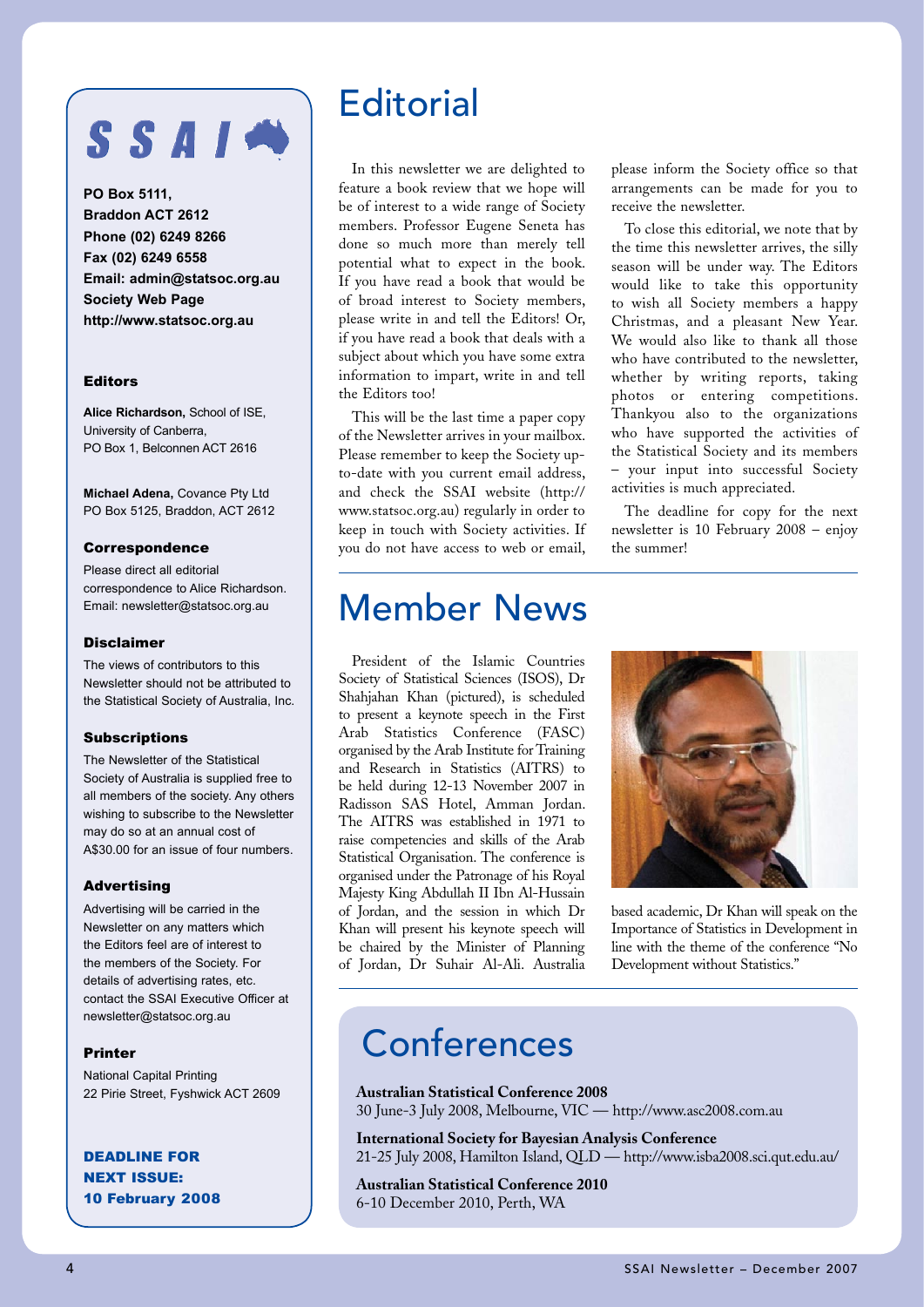## SSAIN

**PO Box 5111, Braddon ACT 2612 Phone (02) 6249 8266 Fax (02) 6249 6558 Email: admin@statsoc.org.au Society Web Page http://www.statsoc.org.au**

### Editors

**Alice Richardson,** School of ISE, University of Canberra, PO Box 1, Belconnen ACT 2616

**Michael Adena,** Covance Pty Ltd PO Box 5125, Braddon, ACT 2612

#### Correspondence

Please direct all editorial correspondence to Alice Richardson. Email: newsletter@statsoc.org.au

#### Disclaimer

The views of contributors to this Newsletter should not be attributed to the Statistical Society of Australia, Inc.

### Subscriptions

The Newsletter of the Statistical Society of Australia is supplied free to all members of the society. Any others wishing to subscribe to the Newsletter may do so at an annual cost of A\$30.00 for an issue of four numbers.

#### Advertising

Advertising will be carried in the Newsletter on any matters which the Editors feel are of interest to the members of the Society. For details of advertising rates, etc. contact the SSAI Executive Officer at newsletter@statsoc.org.au

#### Printer

National Capital Printing 22 Pirie Street, Fyshwick ACT 2609

DEADLINE FOR NEXT ISSUE: 10 February 2008

### **Editorial**

In this newsletter we are delighted to feature a book review that we hope will be of interest to a wide range of Society members. Professor Eugene Seneta has done so much more than merely tell potential what to expect in the book. If you have read a book that would be of broad interest to Society members, please write in and tell the Editors! Or, if you have read a book that deals with a subject about which you have some extra information to impart, write in and tell the Editors too!

This will be the last time a paper copy of the Newsletter arrives in your mailbox. Please remember to keep the Society upto-date with you current email address, and check the SSAI website (http:// www.statsoc.org.au) regularly in order to keep in touch with Society activities. If you do not have access to web or email, please inform the Society office so that arrangements can be made for you to receive the newsletter.

To close this editorial, we note that by the time this newsletter arrives, the silly season will be under way. The Editors would like to take this opportunity to wish all Society members a happy Christmas, and a pleasant New Year. We would also like to thank all those who have contributed to the newsletter, whether by writing reports, taking photos or entering competitions. Thankyou also to the organizations who have supported the activities of the Statistical Society and its members – your input into successful Society activities is much appreciated.

The deadline for copy for the next newsletter is 10 February 2008 – enjoy the summer!

### Member News

President of the Islamic Countries Society of Statistical Sciences (ISOS), Dr Shahjahan Khan (pictured), is scheduled to present a keynote speech in the First Arab Statistics Conference (FASC) organised by the Arab Institute for Training and Research in Statistics (AITRS) to be held during 12-13 November 2007 in Radisson SAS Hotel, Amman Jordan. The AITRS was established in 1971 to raise competencies and skills of the Arab Statistical Organisation. The conference is organised under the Patronage of his Royal Majesty King Abdullah II Ibn Al-Hussain of Jordan, and the session in which Dr Khan will present his keynote speech will be chaired by the Minister of Planning of Jordan, Dr Suhair Al-Ali. Australia



based academic, Dr Khan will speak on the Importance of Statistics in Development in line with the theme of the conference "No Development without Statistics."

### Conferences

**Australian Statistical Conference 2008** 30 June-3 July 2008, Melbourne, VIC — http://www.asc2008.com.au

**International Society for Bayesian Analysis Conference** 21-25 July 2008, Hamilton Island, QLD — http://www.isba2008.sci.qut.edu.au/

**Australian Statistical Conference 2010** 6-10 December 2010, Perth, WA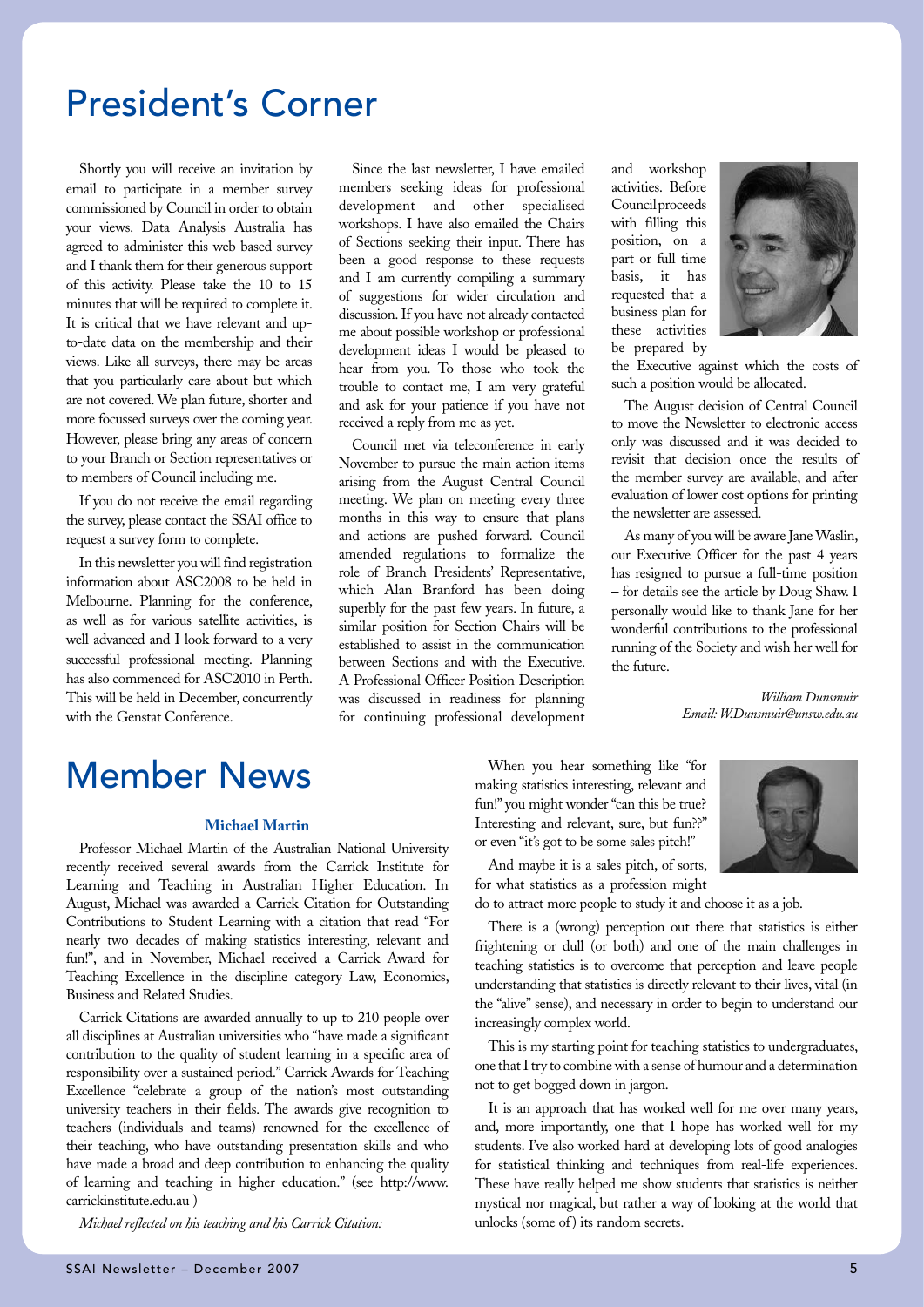### President's Corner

Shortly you will receive an invitation by email to participate in a member survey commissioned by Council in order to obtain your views. Data Analysis Australia has agreed to administer this web based survey and I thank them for their generous support of this activity. Please take the 10 to 15 minutes that will be required to complete it. It is critical that we have relevant and upto-date data on the membership and their views. Like all surveys, there may be areas that you particularly care about but which are not covered. We plan future, shorter and more focussed surveys over the coming year. However, please bring any areas of concern to your Branch or Section representatives or to members of Council including me.

If you do not receive the email regarding the survey, please contact the SSAI office to request a survey form to complete.

In this newsletter you will find registration information about ASC2008 to be held in Melbourne. Planning for the conference, as well as for various satellite activities, is well advanced and I look forward to a very successful professional meeting. Planning has also commenced for ASC2010 in Perth. This will be held in December, concurrently with the Genstat Conference.

Since the last newsletter, I have emailed members seeking ideas for professional development and other specialised workshops. I have also emailed the Chairs of Sections seeking their input. There has been a good response to these requests and I am currently compiling a summary of suggestions for wider circulation and discussion. If you have not already contacted me about possible workshop or professional development ideas I would be pleased to hear from you. To those who took the trouble to contact me, I am very grateful and ask for your patience if you have not received a reply from me as yet.

Council met via teleconference in early November to pursue the main action items arising from the August Central Council meeting. We plan on meeting every three months in this way to ensure that plans and actions are pushed forward. Council amended regulations to formalize the role of Branch Presidents' Representative, which Alan Branford has been doing superbly for the past few years. In future, a similar position for Section Chairs will be established to assist in the communication between Sections and with the Executive. A Professional Officer Position Description was discussed in readiness for planning for continuing professional development

and workshop activities. Before Council proceeds with filling this position, on a part or full time basis, it has requested that a business plan for these activities be prepared by



the Executive against which the costs of such a position would be allocated.

The August decision of Central Council to move the Newsletter to electronic access only was discussed and it was decided to revisit that decision once the results of the member survey are available, and after evaluation of lower cost options for printing the newsletter are assessed.

As many of you will be aware Jane Waslin, our Executive Officer for the past 4 years has resigned to pursue a full-time position – for details see the article by Doug Shaw. I personally would like to thank Jane for her wonderful contributions to the professional running of the Society and wish her well for the future.

> *William Dunsmuir Email: W.Dunsmuir@unsw.edu.au*

### Member News

#### **Michael Martin**

Professor Michael Martin of the Australian National University recently received several awards from the Carrick Institute for Learning and Teaching in Australian Higher Education. In August, Michael was awarded a Carrick Citation for Outstanding Contributions to Student Learning with a citation that read "For nearly two decades of making statistics interesting, relevant and fun!", and in November, Michael received a Carrick Award for Teaching Excellence in the discipline category Law, Economics, Business and Related Studies.

Carrick Citations are awarded annually to up to 210 people over all disciplines at Australian universities who "have made a significant contribution to the quality of student learning in a specific area of responsibility over a sustained period." Carrick Awards for Teaching Excellence "celebrate a group of the nation's most outstanding university teachers in their fields. The awards give recognition to teachers (individuals and teams) renowned for the excellence of their teaching, who have outstanding presentation skills and who have made a broad and deep contribution to enhancing the quality of learning and teaching in higher education." (see http://www. carrickinstitute.edu.au )

*Michael reflected on his teaching and his Carrick Citation:*

When you hear something like "for making statistics interesting, relevant and fun!" you might wonder "can this be true? Interesting and relevant, sure, but fun??" or even "it's got to be some sales pitch!"



And maybe it is a sales pitch, of sorts, for what statistics as a profession might

do to attract more people to study it and choose it as a job.

There is a (wrong) perception out there that statistics is either frightening or dull (or both) and one of the main challenges in teaching statistics is to overcome that perception and leave people understanding that statistics is directly relevant to their lives, vital (in the "alive" sense), and necessary in order to begin to understand our increasingly complex world.

This is my starting point for teaching statistics to undergraduates, one that I try to combine with a sense of humour and a determination not to get bogged down in jargon.

It is an approach that has worked well for me over many years, and, more importantly, one that I hope has worked well for my students. I've also worked hard at developing lots of good analogies for statistical thinking and techniques from real-life experiences. These have really helped me show students that statistics is neither mystical nor magical, but rather a way of looking at the world that unlocks (some of) its random secrets.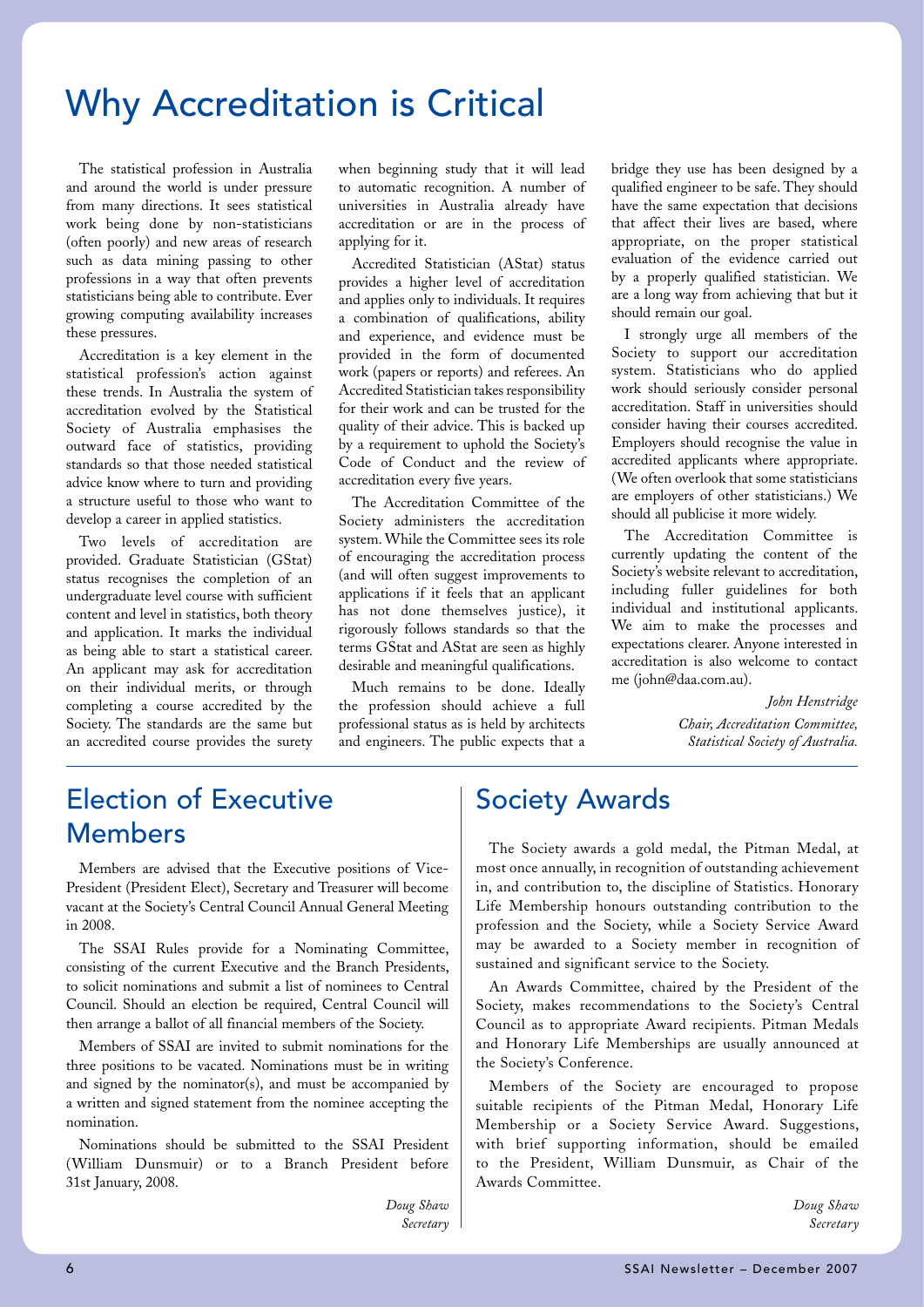### Why Accreditation is Critical

The statistical profession in Australia and around the world is under pressure from many directions. It sees statistical work being done by non-statisticians (often poorly) and new areas of research such as data mining passing to other professions in a way that often prevents statisticians being able to contribute. Ever growing computing availability increases these pressures.

Accreditation is a key element in the statistical profession's action against these trends. In Australia the system of accreditation evolved by the Statistical Society of Australia emphasises the outward face of statistics, providing standards so that those needed statistical advice know where to turn and providing a structure useful to those who want to develop a career in applied statistics.

Two levels of accreditation are provided. Graduate Statistician (GStat) status recognises the completion of an undergraduate level course with sufficient content and level in statistics, both theory and application. It marks the individual as being able to start a statistical career. An applicant may ask for accreditation on their individual merits, or through completing a course accredited by the Society. The standards are the same but an accredited course provides the surety

when beginning study that it will lead to automatic recognition. A number of universities in Australia already have accreditation or are in the process of applying for it.

Accredited Statistician (AStat) status provides a higher level of accreditation and applies only to individuals. It requires a combination of qualifications, ability and experience, and evidence must be provided in the form of documented work (papers or reports) and referees. An Accredited Statistician takes responsibility for their work and can be trusted for the quality of their advice. This is backed up by a requirement to uphold the Society's Code of Conduct and the review of accreditation every five years.

The Accreditation Committee of the Society administers the accreditation system. While the Committee sees its role of encouraging the accreditation process (and will often suggest improvements to applications if it feels that an applicant has not done themselves justice), it rigorously follows standards so that the terms GStat and AStat are seen as highly desirable and meaningful qualifications.

Much remains to be done. Ideally the profession should achieve a full professional status as is held by architects and engineers. The public expects that a bridge they use has been designed by a qualified engineer to be safe. They should have the same expectation that decisions that affect their lives are based, where appropriate, on the proper statistical evaluation of the evidence carried out by a properly qualified statistician. We are a long way from achieving that but it should remain our goal.

I strongly urge all members of the Society to support our accreditation system. Statisticians who do applied work should seriously consider personal accreditation. Staff in universities should consider having their courses accredited. Employers should recognise the value in accredited applicants where appropriate. (We often overlook that some statisticians are employers of other statisticians.) We should all publicise it more widely.

The Accreditation Committee is currently updating the content of the Society's website relevant to accreditation, including fuller guidelines for both individual and institutional applicants. We aim to make the processes and expectations clearer. Anyone interested in accreditation is also welcome to contact me (john@daa.com.au).

> *John Henstridge Chair, Accreditation Committee, Statistical Society of Australia.*

### Election of Executive Members

Members are advised that the Executive positions of Vice-President (President Elect), Secretary and Treasurer will become vacant at the Society's Central Council Annual General Meeting in 2008.

The SSAI Rules provide for a Nominating Committee, consisting of the current Executive and the Branch Presidents, to solicit nominations and submit a list of nominees to Central Council. Should an election be required, Central Council will then arrange a ballot of all financial members of the Society.

Members of SSAI are invited to submit nominations for the three positions to be vacated. Nominations must be in writing and signed by the nominator(s), and must be accompanied by a written and signed statement from the nominee accepting the nomination.

Nominations should be submitted to the SSAI President (William Dunsmuir) or to a Branch President before 31st January, 2008.

> *Doug Shaw Secretary*

### Society Awards

The Society awards a gold medal, the Pitman Medal, at most once annually, in recognition of outstanding achievement in, and contribution to, the discipline of Statistics. Honorary Life Membership honours outstanding contribution to the profession and the Society, while a Society Service Award may be awarded to a Society member in recognition of sustained and significant service to the Society.

An Awards Committee, chaired by the President of the Society, makes recommendations to the Society's Central Council as to appropriate Award recipients. Pitman Medals and Honorary Life Memberships are usually announced at the Society's Conference.

Members of the Society are encouraged to propose suitable recipients of the Pitman Medal, Honorary Life Membership or a Society Service Award. Suggestions, with brief supporting information, should be emailed to the President, William Dunsmuir, as Chair of the Awards Committee.

> *Doug Shaw Secretary*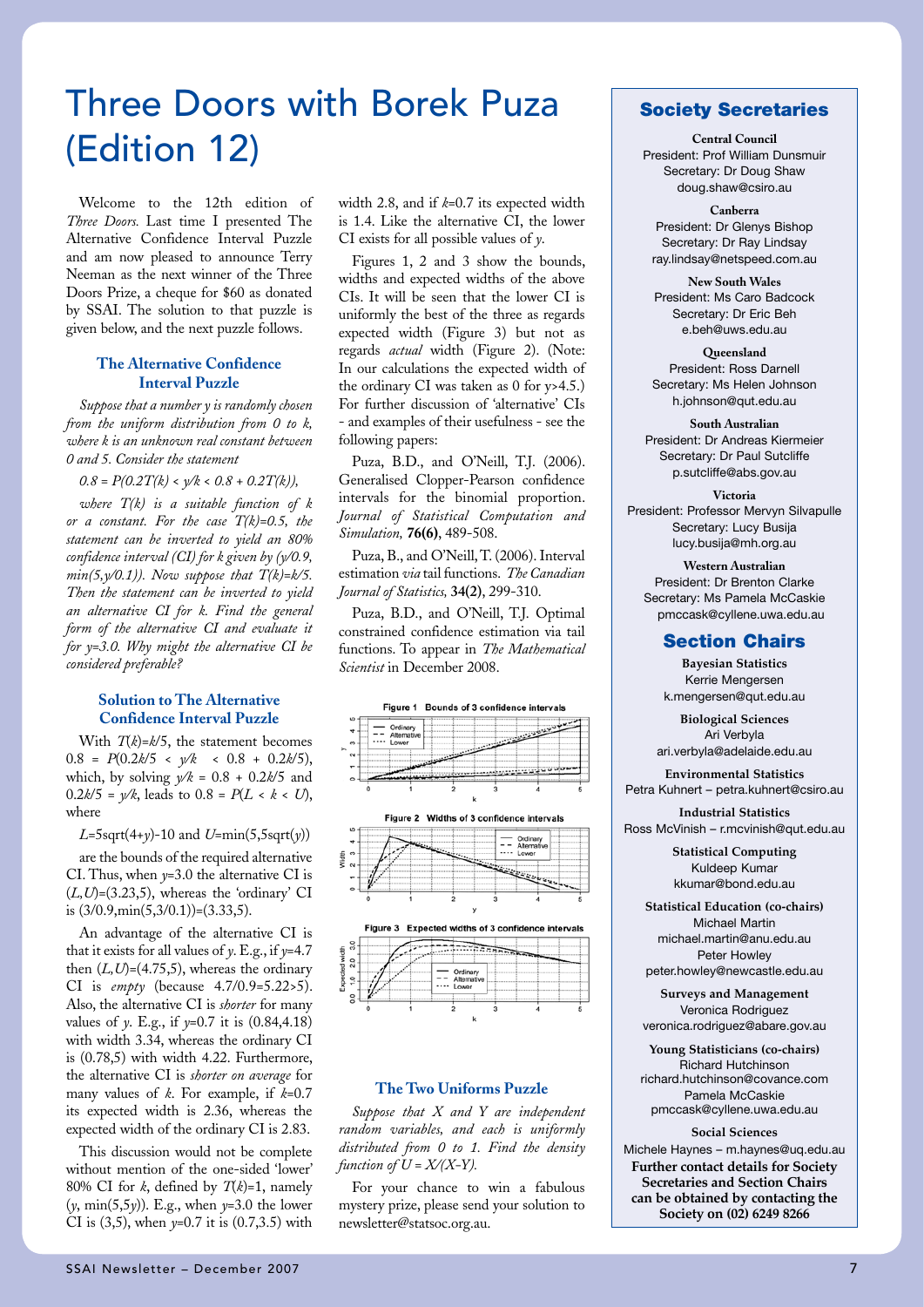### Three Doors with Borek Puza (Edition 12)

Welcome to the 12th edition of *Three Doors.* Last time I presented The Alternative Confidence Interval Puzzle and am now pleased to announce Terry Neeman as the next winner of the Three Doors Prize, a cheque for \$60 as donated by SSAI. The solution to that puzzle is given below, and the next puzzle follows.

#### **The Alternative Confidence Interval Puzzle**

*Suppose that a number y is randomly chosen from the uniform distribution from 0 to k, where k is an unknown real constant between 0 and 5. Consider the statement* 

 $0.8 = P(0.2T/k) < \sqrt{k} < 0.8 + 0.2T(k)$ ,

*where T(k) is a suitable function of k or a constant. For the case T(k)=0.5, the statement can be inverted to yield an 80% confidence interval (CI) for k given by (y/0.9, min(5,y/0.1)). Now suppose that T(k)=k/5. Then the statement can be inverted to yield an alternative CI for k. Find the general form of the alternative CI and evaluate it for y=3.0. Why might the alternative CI be considered preferable?*

#### **Solution to The Alternative Confidence Interval Puzzle**

With *T*(*k*)=*k*/5, the statement becomes 0.8 =  $P(0.2k/5 \langle k \rangle / k \langle k \rangle \langle 0.8 + 0.2k/5)$ , which, by solving  $y/k = 0.8 + 0.2k/5$  and  $0.2k/5 = \frac{y}{k}$ , leads to  $0.8 = P(L \le k \le U)$ , where

*L*=5sqrt(4+*y*)-10 and *U*=min(5,5sqrt(*y*))

are the bounds of the required alternative CI. Thus, when *y*=3.0 the alternative CI is  $(L, U) = (3.23, 5)$ , whereas the 'ordinary' CI is  $(3/0.9, \text{min}(5, 3/0.1)) = (3.33, 5)$ .

An advantage of the alternative CI is that it exists for all values of *y*. E.g., if *y*=4.7 then  $(L, U) = (4.75, 5)$ , whereas the ordinary CI is *empty* (because 4.7/0.9=5.22>5). Also, the alternative CI is *shorter* for many values of *y*. E.g., if *y*=0.7 it is (0.84,4.18) with width 3.34, whereas the ordinary CI is (0.78,5) with width 4.22. Furthermore, the alternative CI is *shorter on average* for many values of *k*. For example, if *k*=0.7 its expected width is 2.36, whereas the expected width of the ordinary CI is 2.83.

This discussion would not be complete without mention of the one-sided 'lower' 80% CI for *k*, defined by  $T(k)=1$ , namely (*y*, min(5,5*y*)). E.g., when *y*=3.0 the lower CI is (3,5), when *y*=0.7 it is (0.7,3.5) with

width 2.8, and if *k*=0.7 its expected width is 1.4. Like the alternative CI, the lower CI exists for all possible values of *y*.

Figures 1, 2 and 3 show the bounds, widths and expected widths of the above CIs. It will be seen that the lower CI is uniformly the best of the three as regards expected width (Figure 3) but not as regards *actual* width (Figure 2). (Note: In our calculations the expected width of the ordinary CI was taken as 0 for y>4.5.) For further discussion of 'alternative' CIs - and examples of their usefulness - see the following papers:

Puza, B.D., and O'Neill, T.J. (2006). Generalised Clopper-Pearson confidence intervals for the binomial proportion. *Journal of Statistical Computation and Simulation,* **76(6)**, 489-508.

Puza, B., and O'Neill, T. (2006). Interval estimation *via* tail functions. *The Canadian Journal of Statistics,* **34(2)**, 299-310.

Puza, B.D., and O'Neill, T.J. Optimal constrained confidence estimation via tail functions. To appear in *The Mathematical Scientist* in December 2008.



### **The Two Uniforms Puzzle**

*Suppose that X and Y are independent random variables, and each is uniformly distributed from 0 to 1. Find the density function of*  $U = X/(X-Y)$ *.* 

For your chance to win a fabulous mystery prize, please send your solution to newsletter@statsoc.org.au.

### Society Secretaries

**Central Council** President: Prof William Dunsmuir Secretary: Dr Doug Shaw doug.shaw@csiro.au

**Canberra** President: Dr Glenys Bishop Secretary: Dr Ray Lindsay ray.lindsay@netspeed.com.au

**New South Wales** President: Ms Caro Badcock Secretary: Dr Eric Beh e.beh@uws.edu.au

**Queensland** President: Ross Darnell Secretary: Ms Helen Johnson h.johnson@qut.edu.au

**South Australian** President: Dr Andreas Kiermeier Secretary: Dr Paul Sutcliffe p.sutcliffe@abs.gov.au

**Victoria** President: Professor Mervyn Silvapulle Secretary: Lucy Busija lucy.busija@mh.org.au

**Western Australian** President: Dr Brenton Clarke Secretary: Ms Pamela McCaskie pmccask@cyllene.uwa.edu.au

### Section Chairs

**Bayesian Statistics** Kerrie Mengersen k.mengersen@qut.edu.au

**Biological Sciences** Ari Verbyla ari.verbyla@adelaide.edu.au

**Environmental Statistics** Petra Kuhnert – petra.kuhnert@csiro.au

**Industrial Statistics** Ross McVinish – r.mcvinish@qut.edu.au

> **Statistical Computing** Kuldeep Kumar kkumar@bond.edu.au

**Statistical Education (co-chairs)** Michael Martin michael.martin@anu.edu.au Peter Howley peter.howley@newcastle.edu.au

**Surveys and Management** Veronica Rodriguez veronica.rodriguez@abare.gov.au

**Young Statisticians (co-chairs)** Richard Hutchinson richard.hutchinson@covance.com Pamela McCaskie pmccask@cyllene.uwa.edu.au

#### **Social Sciences**

Michele Haynes – m.haynes@uq.edu.au **Further contact details for Society Secretaries and Section Chairs can be obtained by contacting the Society on (02) 6249 8266**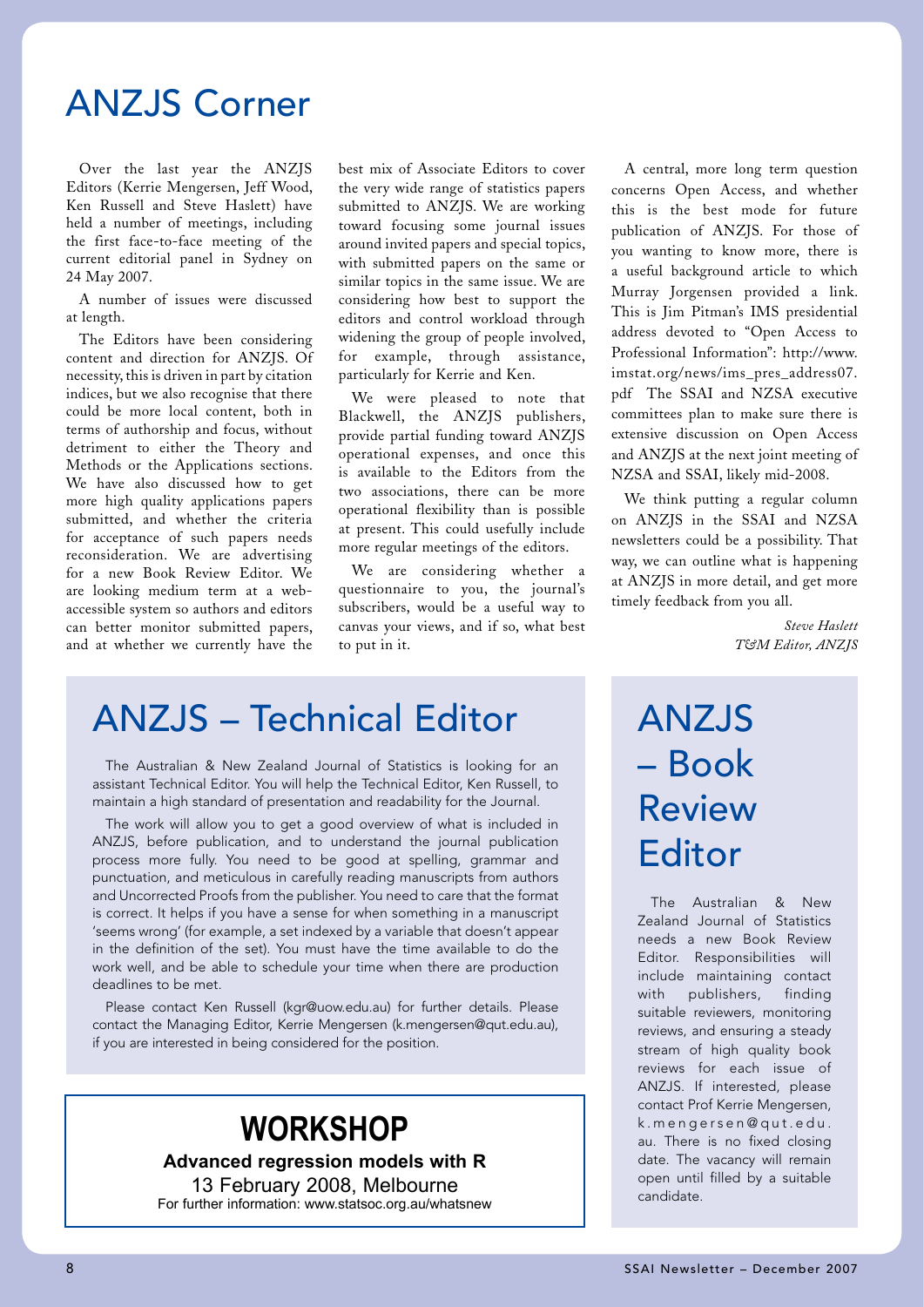### ANZJS Corner

Over the last year the ANZJS Editors (Kerrie Mengersen, Jeff Wood, Ken Russell and Steve Haslett) have held a number of meetings, including the first face-to-face meeting of the current editorial panel in Sydney on 24 May 2007.

A number of issues were discussed at length.

The Editors have been considering content and direction for ANZJS. Of necessity, this is driven in part by citation indices, but we also recognise that there could be more local content, both in terms of authorship and focus, without detriment to either the Theory and Methods or the Applications sections. We have also discussed how to get more high quality applications papers submitted, and whether the criteria for acceptance of such papers needs reconsideration. We are advertising for a new Book Review Editor. We are looking medium term at a webaccessible system so authors and editors can better monitor submitted papers, and at whether we currently have the

best mix of Associate Editors to cover the very wide range of statistics papers submitted to ANZJS. We are working toward focusing some journal issues around invited papers and special topics, with submitted papers on the same or similar topics in the same issue. We are considering how best to support the editors and control workload through widening the group of people involved, for example, through assistance, particularly for Kerrie and Ken.

We were pleased to note that Blackwell, the ANZJS publishers, provide partial funding toward ANZJS operational expenses, and once this is available to the Editors from the two associations, there can be more operational flexibility than is possible at present. This could usefully include more regular meetings of the editors.

We are considering whether a questionnaire to you, the journal's subscribers, would be a useful way to canvas your views, and if so, what best to put in it.

A central, more long term question concerns Open Access, and whether this is the best mode for future publication of ANZJS. For those of you wanting to know more, there is a useful background article to which Murray Jorgensen provided a link. This is Jim Pitman's IMS presidential address devoted to "Open Access to Professional Information": http://www. imstat.org/news/ims\_pres\_address07. pdf The SSAI and NZSA executive committees plan to make sure there is extensive discussion on Open Access and ANZJS at the next joint meeting of NZSA and SSAI, likely mid-2008.

We think putting a regular column on ANZJS in the SSAI and NZSA newsletters could be a possibility. That way, we can outline what is happening at ANZJS in more detail, and get more timely feedback from you all.

> *Steve Haslett T&M Editor, ANZJS*

### ANZJS – Technical Editor

The Australian & New Zealand Journal of Statistics is looking for an assistant Technical Editor. You will help the Technical Editor, Ken Russell, to maintain a high standard of presentation and readability for the Journal.

The work will allow you to get a good overview of what is included in ANZJS, before publication, and to understand the journal publication process more fully. You need to be good at spelling, grammar and punctuation, and meticulous in carefully reading manuscripts from authors and Uncorrected Proofs from the publisher. You need to care that the format is correct. It helps if you have a sense for when something in a manuscript 'seems wrong' (for example, a set indexed by a variable that doesn't appear in the definition of the set). You must have the time available to do the work well, and be able to schedule your time when there are production deadlines to be met.

Please contact Ken Russell (kgr@uow.edu.au) for further details. Please contact the Managing Editor, Kerrie Mengersen (k.mengersen@qut.edu.au), if you are interested in being considered for the position.

### **WORKSHOP**

**Advanced regression models with R** 13 February 2008, Melbourne For further information: www.statsoc.org.au/whatsnew

## ANZJS – Book Review **Editor**

The Australian & New Zealand Journal of Statistics needs a new Book Review Editor. Responsibilities will include maintaining contact with publishers, finding suitable reviewers, monitoring reviews, and ensuring a steady stream of high quality book reviews for each issue of ANZJS. If interested, please contact Prof Kerrie Mengersen, k . m e n g e r s e n @ q u t . e d u . au. There is no fixed closing date. The vacancy will remain open until filled by a suitable candidate.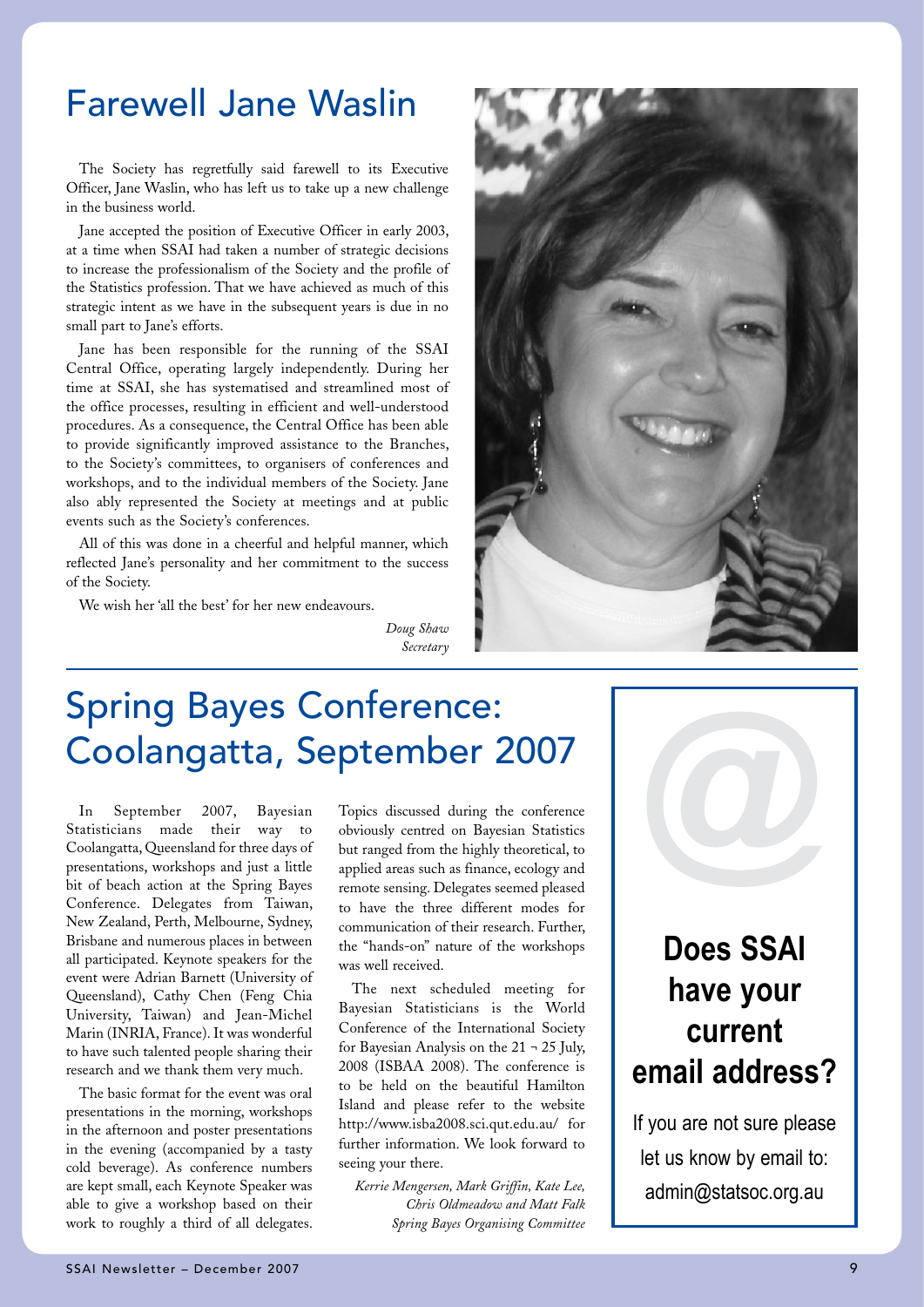### Farewell Jane Waslin

The Society has regretfully said farewell to its Executive Officer, Jane Waslin, who has left us to take up a new challenge in the business world.

Jane accepted the position of Executive Officer in early 2003, at a time when SSAI had taken a number of strategic decisions to increase the professionalism of the Society and the profile of the Statistics profession. That we have achieved as much of this strategic intent as we have in the subsequent years is due in no small part to Jane's efforts.

Jane has been responsible for the running of the SSAI Central Office, operating largely independently. During her time at SSAI, she has systematised and streamlined most of the office processes, resulting in efficient and well-understood procedures. As a consequence, the Central Office has been able to provide significantly improved assistance to the Branches, to the Society's committees, to organisers of conferences and workshops, and to the individual members of the Society. Jane also ably represented the Society at meetings and at public events such as the Society's conferences.

All of this was done in a cheerful and helpful manner, which reflected Jane's personality and her commitment to the success of the Society.

We wish her 'all the best' for her new endeavours.

*Doug Shaw Secretary*



### Spring Bayes Conference: Coolangatta, September 2007

In September 2007, Bayesian Statisticians made their way to Coolangatta, Queensland for three days of presentations, workshops and just a little bit of beach action at the Spring Bayes Conference. Delegates from Taiwan, New Zealand, Perth, Melbourne, Sydney, Brisbane and numerous places in between all participated. Keynote speakers for the event were Adrian Barnett (University of Queensland), Cathy Chen (Feng Chia University, Taiwan) and Jean-Michel Marin (INRIA, France). It was wonderful to have such talented people sharing their research and we thank them very much.

The basic format for the event was oral presentations in the morning, workshops in the afternoon and poster presentations in the evening (accompanied by a tasty cold beverage). As conference numbers are kept small, each Keynote Speaker was able to give a workshop based on their work to roughly a third of all delegates.

Topics discussed during the conference obviously centred on Bayesian Statistics but ranged from the highly theoretical, to applied areas such as finance, ecology and remote sensing. Delegates seemed pleased to have the three different modes for communication of their research. Further, the "hands-on" nature of the workshops was well received.

The next scheduled meeting for Bayesian Statisticians is the World Conference of the International Society for Bayesian Analysis on the 21 ¬ 25 July, 2008 (ISBAA 2008). The conference is to be held on the beautiful Hamilton Island and please refer to the website http://www.isba2008.sci.qut.edu.au/ for further information. We look forward to seeing your there.

*Kerrie Mengersen, Mark Griffin, Kate Lee, Chris Oldmeadow and Matt Falk Spring Bayes Organising Committee*

### **Does SSAI have your current email address?**

If you are not sure please let us know by email to: admin@statsoc.org.au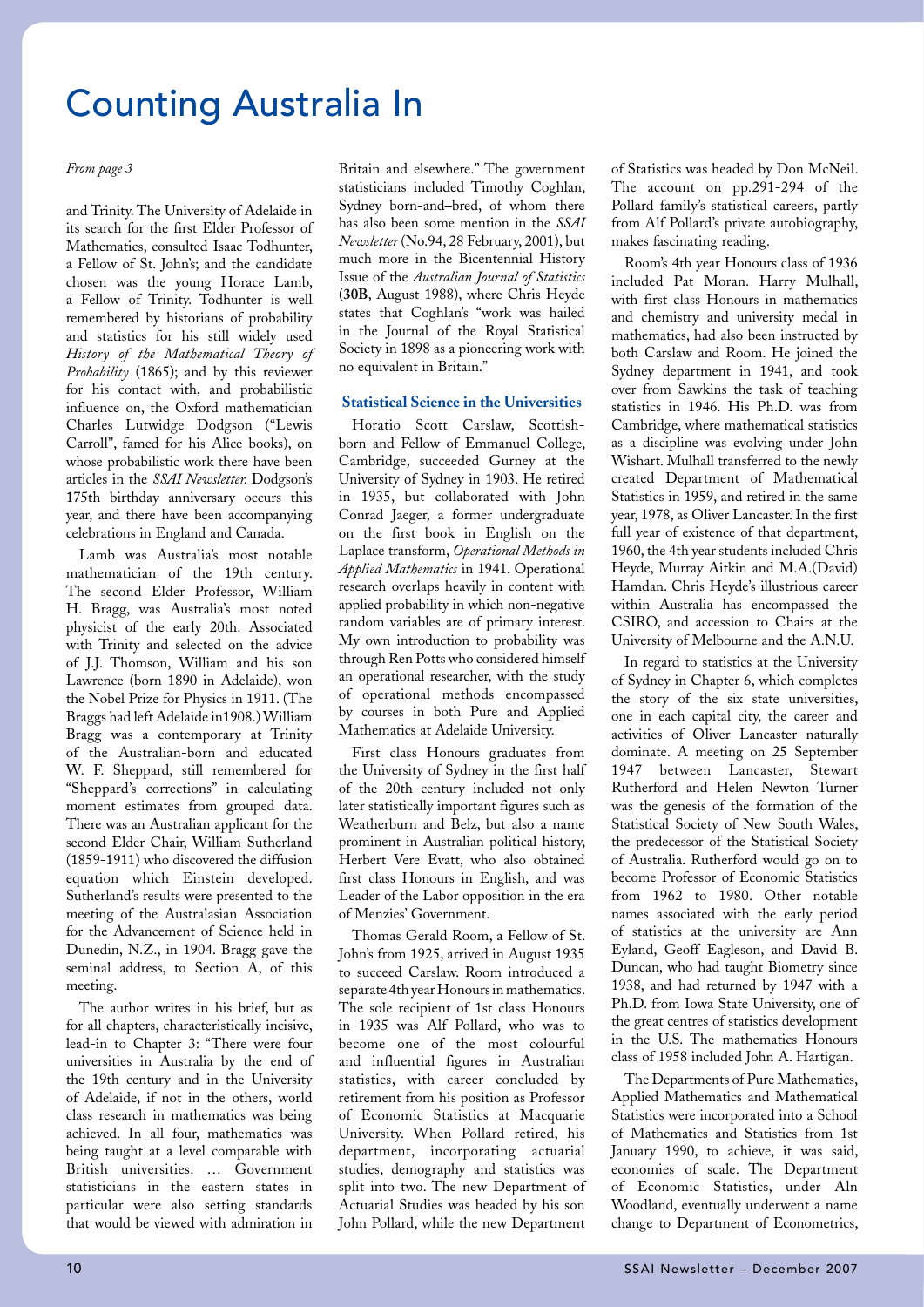*From page 3*

and Trinity. The University of Adelaide in its search for the first Elder Professor of Mathematics, consulted Isaac Todhunter, a Fellow of St. John's; and the candidate chosen was the young Horace Lamb, a Fellow of Trinity. Todhunter is well remembered by historians of probability and statistics for his still widely used *History of the Mathematical Theory of Probability* (1865); and by this reviewer for his contact with, and probabilistic influence on, the Oxford mathematician Charles Lutwidge Dodgson ("Lewis Carroll", famed for his Alice books), on whose probabilistic work there have been articles in the *SSAI Newsletter.* Dodgson's 175th birthday anniversary occurs this year, and there have been accompanying celebrations in England and Canada.

Lamb was Australia's most notable mathematician of the 19th century. The second Elder Professor, William H. Bragg, was Australia's most noted physicist of the early 20th. Associated with Trinity and selected on the advice of J.J. Thomson, William and his son Lawrence (born 1890 in Adelaide), won the Nobel Prize for Physics in 1911. (The Braggs had left Adelaide in1908.) William Bragg was a contemporary at Trinity of the Australian-born and educated W. F. Sheppard, still remembered for "Sheppard's corrections" in calculating moment estimates from grouped data. There was an Australian applicant for the second Elder Chair, William Sutherland (1859-1911) who discovered the diffusion equation which Einstein developed. Sutherland's results were presented to the meeting of the Australasian Association for the Advancement of Science held in Dunedin, N.Z., in 1904. Bragg gave the seminal address, to Section A, of this meeting.

The author writes in his brief, but as for all chapters, characteristically incisive, lead-in to Chapter 3: "There were four universities in Australia by the end of the 19th century and in the University of Adelaide, if not in the others, world class research in mathematics was being achieved. In all four, mathematics was being taught at a level comparable with British universities. … Government statisticians in the eastern states in particular were also setting standards that would be viewed with admiration in

Britain and elsewhere." The government statisticians included Timothy Coghlan, Sydney born-and–bred, of whom there has also been some mention in the *SSAI Newsletter* (No.94, 28 February, 2001), but much more in the Bicentennial History Issue of the *Australian Journal of Statistics*  (**30B**, August 1988), where Chris Heyde states that Coghlan's "work was hailed in the Journal of the Royal Statistical Society in 1898 as a pioneering work with no equivalent in Britain."

#### **Statistical Science in the Universities**

Horatio Scott Carslaw, Scottishborn and Fellow of Emmanuel College, Cambridge, succeeded Gurney at the University of Sydney in 1903. He retired in 1935, but collaborated with John Conrad Jaeger, a former undergraduate on the first book in English on the Laplace transform, *Operational Methods in Applied Mathematics* in 1941. Operational research overlaps heavily in content with applied probability in which non-negative random variables are of primary interest. My own introduction to probability was through Ren Potts who considered himself an operational researcher, with the study of operational methods encompassed by courses in both Pure and Applied Mathematics at Adelaide University.

First class Honours graduates from the University of Sydney in the first half of the 20th century included not only later statistically important figures such as Weatherburn and Belz, but also a name prominent in Australian political history, Herbert Vere Evatt, who also obtained first class Honours in English, and was Leader of the Labor opposition in the era of Menzies' Government.

Thomas Gerald Room, a Fellow of St. John's from 1925, arrived in August 1935 to succeed Carslaw. Room introduced a separate 4th year Honours in mathematics. The sole recipient of 1st class Honours in 1935 was Alf Pollard, who was to become one of the most colourful and influential figures in Australian statistics, with career concluded by retirement from his position as Professor of Economic Statistics at Macquarie University. When Pollard retired, his department, incorporating actuarial studies, demography and statistics was split into two. The new Department of Actuarial Studies was headed by his son John Pollard, while the new Department

of Statistics was headed by Don McNeil. The account on pp.291-294 of the Pollard family's statistical careers, partly from Alf Pollard's private autobiography, makes fascinating reading.

Room's 4th year Honours class of 1936 included Pat Moran. Harry Mulhall, with first class Honours in mathematics and chemistry and university medal in mathematics, had also been instructed by both Carslaw and Room. He joined the Sydney department in 1941, and took over from Sawkins the task of teaching statistics in 1946. His Ph.D. was from Cambridge, where mathematical statistics as a discipline was evolving under John Wishart. Mulhall transferred to the newly created Department of Mathematical Statistics in 1959, and retired in the same year, 1978, as Oliver Lancaster. In the first full year of existence of that department, 1960, the 4th year students included Chris Heyde, Murray Aitkin and M.A.(David) Hamdan. Chris Heyde's illustrious career within Australia has encompassed the CSIRO, and accession to Chairs at the University of Melbourne and the A.N.U.

In regard to statistics at the University of Sydney in Chapter 6, which completes the story of the six state universities, one in each capital city, the career and activities of Oliver Lancaster naturally dominate. A meeting on 25 September 1947 between Lancaster, Stewart Rutherford and Helen Newton Turner was the genesis of the formation of the Statistical Society of New South Wales, the predecessor of the Statistical Society of Australia. Rutherford would go on to become Professor of Economic Statistics from 1962 to 1980. Other notable names associated with the early period of statistics at the university are Ann Eyland, Geoff Eagleson, and David B. Duncan, who had taught Biometry since 1938, and had returned by 1947 with a Ph.D. from Iowa State University, one of the great centres of statistics development in the U.S. The mathematics Honours class of 1958 included John A. Hartigan.

The Departments of Pure Mathematics, Applied Mathematics and Mathematical Statistics were incorporated into a School of Mathematics and Statistics from 1st January 1990, to achieve, it was said, economies of scale. The Department of Economic Statistics, under Aln Woodland, eventually underwent a name change to Department of Econometrics,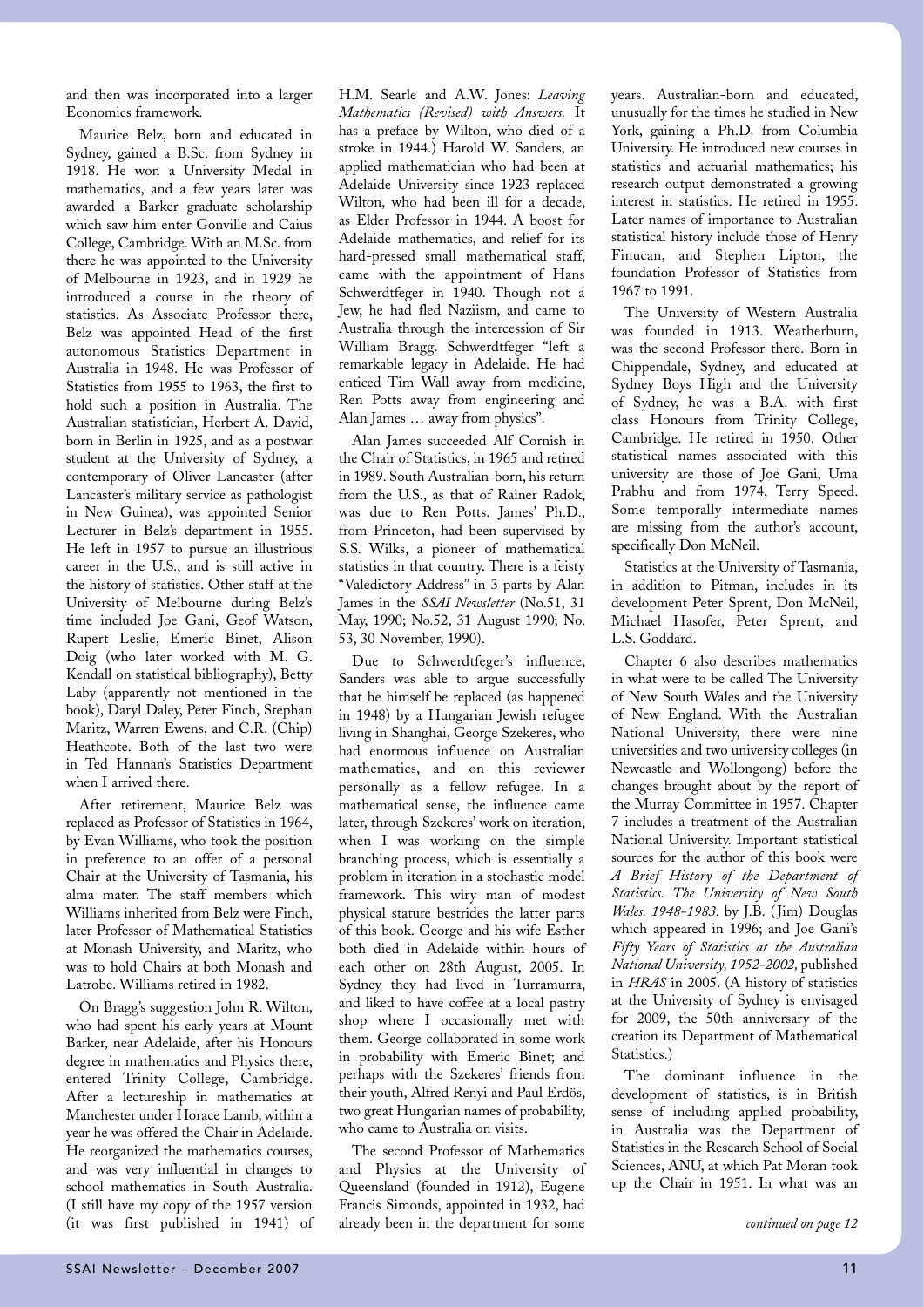and then was incorporated into a larger Economics framework.

Maurice Belz, born and educated in Sydney, gained a B.Sc. from Sydney in 1918. He won a University Medal in mathematics, and a few years later was awarded a Barker graduate scholarship which saw him enter Gonville and Caius College, Cambridge. With an M.Sc. from there he was appointed to the University of Melbourne in 1923, and in 1929 he introduced a course in the theory of statistics. As Associate Professor there, Belz was appointed Head of the first autonomous Statistics Department in Australia in 1948. He was Professor of Statistics from 1955 to 1963, the first to hold such a position in Australia. The Australian statistician, Herbert A. David, born in Berlin in 1925, and as a postwar student at the University of Sydney, a contemporary of Oliver Lancaster (after Lancaster's military service as pathologist in New Guinea), was appointed Senior Lecturer in Belz's department in 1955. He left in 1957 to pursue an illustrious career in the U.S., and is still active in the history of statistics. Other staff at the University of Melbourne during Belz's time included Joe Gani, Geof Watson, Rupert Leslie, Emeric Binet, Alison Doig (who later worked with M. G. Kendall on statistical bibliography), Betty Laby (apparently not mentioned in the book), Daryl Daley, Peter Finch, Stephan Maritz, Warren Ewens, and C.R. (Chip) Heathcote. Both of the last two were in Ted Hannan's Statistics Department when I arrived there.

After retirement, Maurice Belz was replaced as Professor of Statistics in 1964, by Evan Williams, who took the position in preference to an offer of a personal Chair at the University of Tasmania, his alma mater. The staff members which Williams inherited from Belz were Finch, later Professor of Mathematical Statistics at Monash University, and Maritz, who was to hold Chairs at both Monash and Latrobe. Williams retired in 1982.

On Bragg's suggestion John R. Wilton, who had spent his early years at Mount Barker, near Adelaide, after his Honours degree in mathematics and Physics there, entered Trinity College, Cambridge. After a lectureship in mathematics at Manchester under Horace Lamb, within a year he was offered the Chair in Adelaide. He reorganized the mathematics courses, and was very influential in changes to school mathematics in South Australia. (I still have my copy of the 1957 version (it was first published in 1941) of

H.M. Searle and A.W. Jones: *Leaving Mathematics (Revised) with Answers.* It has a preface by Wilton, who died of a stroke in 1944.) Harold W. Sanders, an applied mathematician who had been at Adelaide University since 1923 replaced Wilton, who had been ill for a decade, as Elder Professor in 1944. A boost for Adelaide mathematics, and relief for its hard-pressed small mathematical staff, came with the appointment of Hans Schwerdtfeger in 1940. Though not a Jew, he had fled Naziism, and came to Australia through the intercession of Sir William Bragg. Schwerdtfeger "left a remarkable legacy in Adelaide. He had enticed Tim Wall away from medicine, Ren Potts away from engineering and Alan James … away from physics".

Alan James succeeded Alf Cornish in the Chair of Statistics, in 1965 and retired in 1989. South Australian-born, his return from the U.S., as that of Rainer Radok, was due to Ren Potts. James' Ph.D., from Princeton, had been supervised by S.S. Wilks, a pioneer of mathematical statistics in that country. There is a feisty "Valedictory Address" in 3 parts by Alan James in the *SSAI Newsletter* (No.51, 31 May, 1990; No.52, 31 August 1990; No. 53, 30 November, 1990).

Due to Schwerdtfeger's influence, Sanders was able to argue successfully that he himself be replaced (as happened in 1948) by a Hungarian Jewish refugee living in Shanghai, George Szekeres, who had enormous influence on Australian mathematics, and on this reviewer personally as a fellow refugee. In a mathematical sense, the influence came later, through Szekeres' work on iteration, when I was working on the simple branching process, which is essentially a problem in iteration in a stochastic model framework. This wiry man of modest physical stature bestrides the latter parts of this book. George and his wife Esther both died in Adelaide within hours of each other on 28th August, 2005. In Sydney they had lived in Turramurra, and liked to have coffee at a local pastry shop where I occasionally met with them. George collaborated in some work in probability with Emeric Binet; and perhaps with the Szekeres' friends from their youth, Alfred Renyi and Paul Erdös, two great Hungarian names of probability, who came to Australia on visits.

The second Professor of Mathematics and Physics at the University of Queensland (founded in 1912), Eugene Francis Simonds, appointed in 1932, had already been in the department for some

years. Australian-born and educated, unusually for the times he studied in New York, gaining a Ph.D. from Columbia University. He introduced new courses in statistics and actuarial mathematics; his research output demonstrated a growing interest in statistics. He retired in 1955. Later names of importance to Australian statistical history include those of Henry Finucan, and Stephen Lipton, the foundation Professor of Statistics from 1967 to 1991.

The University of Western Australia was founded in 1913. Weatherburn, was the second Professor there. Born in Chippendale, Sydney, and educated at Sydney Boys High and the University of Sydney, he was a B.A. with first class Honours from Trinity College, Cambridge. He retired in 1950. Other statistical names associated with this university are those of Joe Gani, Uma Prabhu and from 1974, Terry Speed. Some temporally intermediate names are missing from the author's account, specifically Don McNeil.

Statistics at the University of Tasmania, in addition to Pitman, includes in its development Peter Sprent, Don McNeil, Michael Hasofer, Peter Sprent, and L.S. Goddard.

Chapter 6 also describes mathematics in what were to be called The University of New South Wales and the University of New England. With the Australian National University, there were nine universities and two university colleges (in Newcastle and Wollongong) before the changes brought about by the report of the Murray Committee in 1957. Chapter 7 includes a treatment of the Australian National University. Important statistical sources for the author of this book were *A Brief History of the Department of Statistics. The University of New South Wales. 1948-1983.* by J.B. ( Jim) Douglas which appeared in 1996; and Joe Gani's *Fifty Years of Statistics at the Australian National University, 1952-2002,* published in *HRAS* in 2005. (A history of statistics at the University of Sydney is envisaged for 2009, the 50th anniversary of the creation its Department of Mathematical Statistics.)

The dominant influence in the development of statistics, is in British sense of including applied probability, in Australia was the Department of Statistics in the Research School of Social Sciences, ANU, at which Pat Moran took up the Chair in 1951. In what was an

*continued on page 12*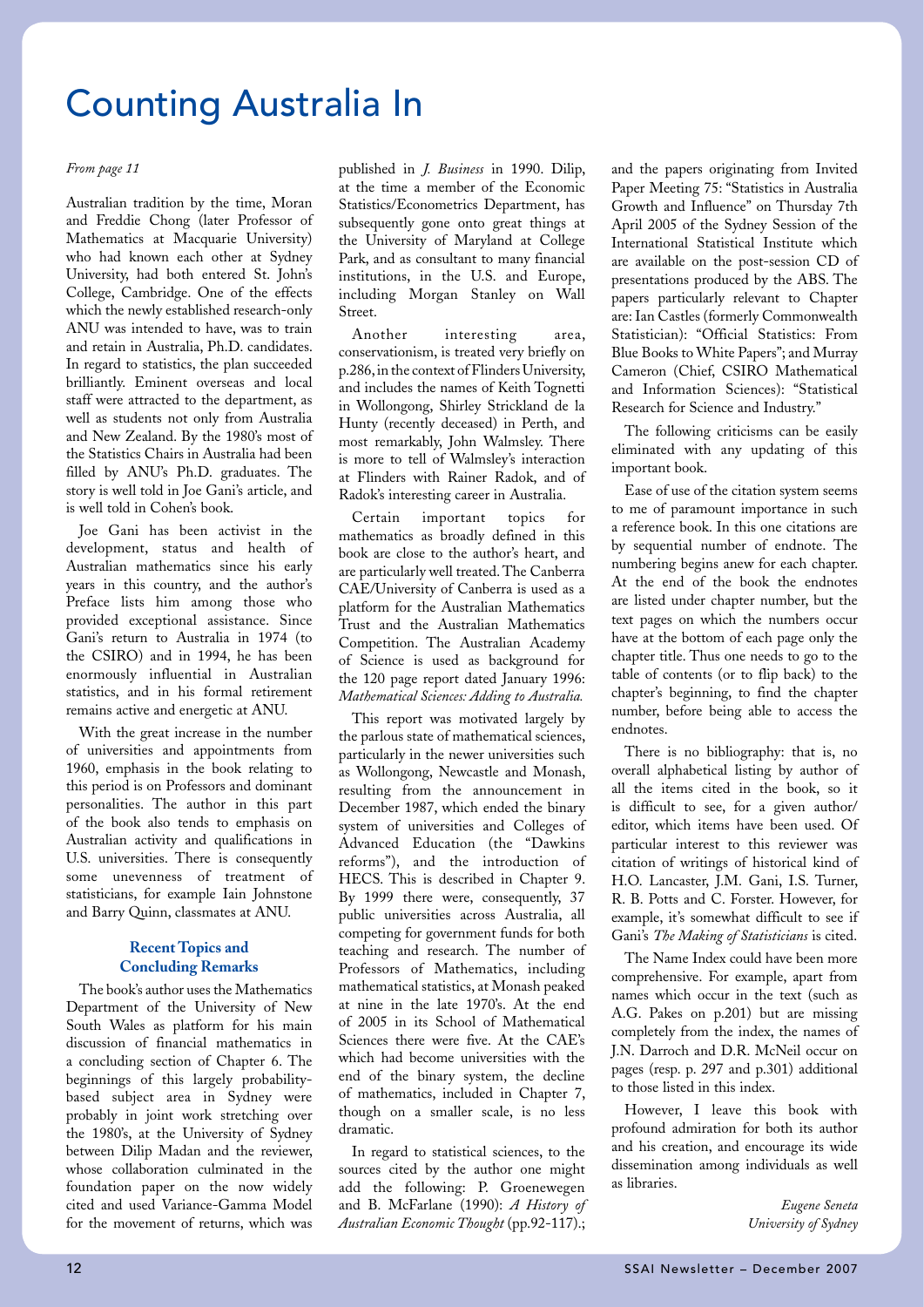#### *From page 11*

Australian tradition by the time, Moran and Freddie Chong (later Professor of Mathematics at Macquarie University) who had known each other at Sydney University, had both entered St. John's College, Cambridge. One of the effects which the newly established research-only ANU was intended to have, was to train and retain in Australia, Ph.D. candidates. In regard to statistics, the plan succeeded brilliantly. Eminent overseas and local staff were attracted to the department, as well as students not only from Australia and New Zealand. By the 1980's most of the Statistics Chairs in Australia had been filled by ANU's Ph.D. graduates. The story is well told in Joe Gani's article, and is well told in Cohen's book.

Joe Gani has been activist in the development, status and health of Australian mathematics since his early years in this country, and the author's Preface lists him among those who provided exceptional assistance. Since Gani's return to Australia in 1974 (to the CSIRO) and in 1994, he has been enormously influential in Australian statistics, and in his formal retirement remains active and energetic at ANU.

With the great increase in the number of universities and appointments from 1960, emphasis in the book relating to this period is on Professors and dominant personalities. The author in this part of the book also tends to emphasis on Australian activity and qualifications in U.S. universities. There is consequently some unevenness of treatment of statisticians, for example Iain Johnstone and Barry Quinn, classmates at ANU.

### **Recent Topics and Concluding Remarks**

The book's author uses the Mathematics Department of the University of New South Wales as platform for his main discussion of financial mathematics in a concluding section of Chapter 6. The beginnings of this largely probabilitybased subject area in Sydney were probably in joint work stretching over the 1980's, at the University of Sydney between Dilip Madan and the reviewer, whose collaboration culminated in the foundation paper on the now widely cited and used Variance-Gamma Model for the movement of returns, which was

published in *J. Business* in 1990. Dilip, at the time a member of the Economic Statistics/Econometrics Department, has subsequently gone onto great things at the University of Maryland at College Park, and as consultant to many financial institutions, in the U.S. and Europe, including Morgan Stanley on Wall Street.

Another interesting area, conservationism, is treated very briefly on p.286, in the context of Flinders University, and includes the names of Keith Tognetti in Wollongong, Shirley Strickland de la Hunty (recently deceased) in Perth, and most remarkably, John Walmsley. There is more to tell of Walmsley's interaction at Flinders with Rainer Radok, and of Radok's interesting career in Australia.

Certain important topics for mathematics as broadly defined in this book are close to the author's heart, and are particularly well treated. The Canberra CAE/University of Canberra is used as a platform for the Australian Mathematics Trust and the Australian Mathematics Competition. The Australian Academy of Science is used as background for the 120 page report dated January 1996: *Mathematical Sciences: Adding to Australia.*

This report was motivated largely by the parlous state of mathematical sciences, particularly in the newer universities such as Wollongong, Newcastle and Monash, resulting from the announcement in December 1987, which ended the binary system of universities and Colleges of Advanced Education (the "Dawkins reforms"), and the introduction of HECS. This is described in Chapter 9. By 1999 there were, consequently, 37 public universities across Australia, all competing for government funds for both teaching and research. The number of Professors of Mathematics, including mathematical statistics, at Monash peaked at nine in the late 1970's. At the end of 2005 in its School of Mathematical Sciences there were five. At the CAE's which had become universities with the end of the binary system, the decline of mathematics, included in Chapter 7, though on a smaller scale, is no less dramatic.

In regard to statistical sciences, to the sources cited by the author one might add the following: P. Groenewegen and B. McFarlane (1990): *A History of Australian Economic Thought* (pp.92-117).; and the papers originating from Invited Paper Meeting 75: "Statistics in Australia Growth and Influence" on Thursday 7th April 2005 of the Sydney Session of the International Statistical Institute which are available on the post-session CD of presentations produced by the ABS. The papers particularly relevant to Chapter are: Ian Castles (formerly Commonwealth Statistician): "Official Statistics: From Blue Books to White Papers"; and Murray Cameron (Chief, CSIRO Mathematical and Information Sciences): "Statistical Research for Science and Industry."

The following criticisms can be easily eliminated with any updating of this important book.

Ease of use of the citation system seems to me of paramount importance in such a reference book. In this one citations are by sequential number of endnote. The numbering begins anew for each chapter. At the end of the book the endnotes are listed under chapter number, but the text pages on which the numbers occur have at the bottom of each page only the chapter title. Thus one needs to go to the table of contents (or to flip back) to the chapter's beginning, to find the chapter number, before being able to access the endnotes.

There is no bibliography: that is, no overall alphabetical listing by author of all the items cited in the book, so it is difficult to see, for a given author/ editor, which items have been used. Of particular interest to this reviewer was citation of writings of historical kind of H.O. Lancaster, J.M. Gani, I.S. Turner, R. B. Potts and C. Forster. However, for example, it's somewhat difficult to see if Gani's *The Making of Statisticians* is cited.

The Name Index could have been more comprehensive. For example, apart from names which occur in the text (such as A.G. Pakes on p.201) but are missing completely from the index, the names of J.N. Darroch and D.R. McNeil occur on pages (resp. p. 297 and p.301) additional to those listed in this index.

However, I leave this book with profound admiration for both its author and his creation, and encourage its wide dissemination among individuals as well as libraries.

> *Eugene Seneta University of Sydney*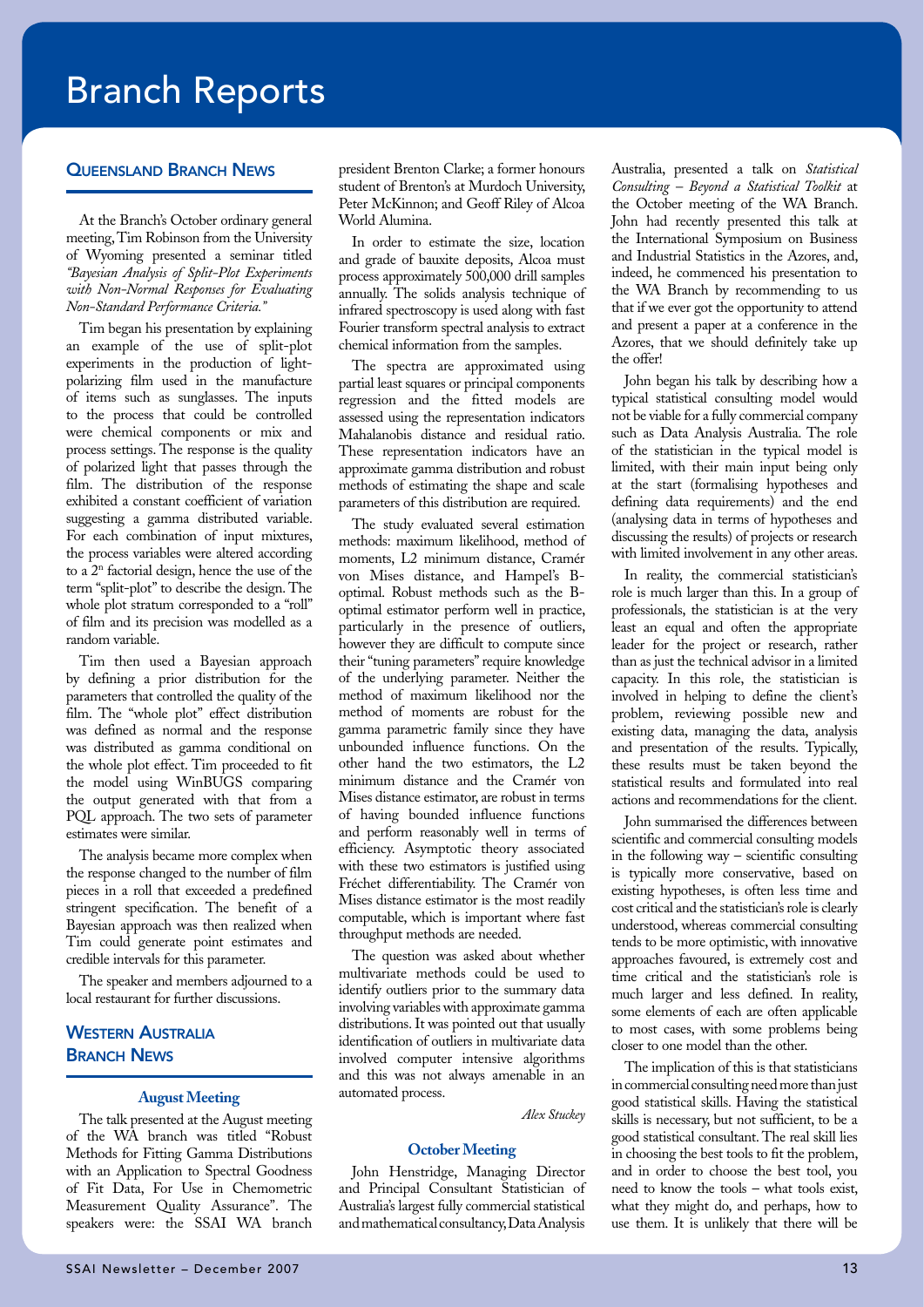### Branch Reports

#### Queensland Branch News

At the Branch's October ordinary general meeting, Tim Robinson from the University of Wyoming presented a seminar titled *"Bayesian Analysis of Split-Plot Experiments with Non-Normal Responses for Evaluating Non-Standard Performance Criteria."*

Tim began his presentation by explaining an example of the use of split-plot experiments in the production of lightpolarizing film used in the manufacture of items such as sunglasses. The inputs to the process that could be controlled were chemical components or mix and process settings. The response is the quality of polarized light that passes through the film. The distribution of the response exhibited a constant coefficient of variation suggesting a gamma distributed variable. For each combination of input mixtures, the process variables were altered according to a 2n factorial design, hence the use of the term "split-plot" to describe the design. The whole plot stratum corresponded to a "roll" of film and its precision was modelled as a random variable.

Tim then used a Bayesian approach by defining a prior distribution for the parameters that controlled the quality of the film. The "whole plot" effect distribution was defined as normal and the response was distributed as gamma conditional on the whole plot effect. Tim proceeded to fit the model using WinBUGS comparing the output generated with that from a PQL approach. The two sets of parameter estimates were similar.

The analysis became more complex when the response changed to the number of film pieces in a roll that exceeded a predefined stringent specification. The benefit of a Bayesian approach was then realized when Tim could generate point estimates and credible intervals for this parameter.

The speaker and members adjourned to a local restaurant for further discussions.

### **WESTERN AUSTRALIA BRANCH NEWS**

#### **August Meeting**

The talk presented at the August meeting of the WA branch was titled "Robust Methods for Fitting Gamma Distributions with an Application to Spectral Goodness of Fit Data, For Use in Chemometric Measurement Quality Assurance". The speakers were: the SSAI WA branch

president Brenton Clarke; a former honours student of Brenton's at Murdoch University, Peter McKinnon; and Geoff Riley of Alcoa World Alumina.

In order to estimate the size, location and grade of bauxite deposits, Alcoa must process approximately 500,000 drill samples annually. The solids analysis technique of infrared spectroscopy is used along with fast Fourier transform spectral analysis to extract chemical information from the samples.

The spectra are approximated using partial least squares or principal components regression and the fitted models are assessed using the representation indicators Mahalanobis distance and residual ratio. These representation indicators have an approximate gamma distribution and robust methods of estimating the shape and scale parameters of this distribution are required.

The study evaluated several estimation methods: maximum likelihood, method of moments, L2 minimum distance, Cramér von Mises distance, and Hampel's Boptimal. Robust methods such as the Boptimal estimator perform well in practice, particularly in the presence of outliers, however they are difficult to compute since their "tuning parameters" require knowledge of the underlying parameter. Neither the method of maximum likelihood nor the method of moments are robust for the gamma parametric family since they have unbounded influence functions. On the other hand the two estimators, the L2 minimum distance and the Cramér von Mises distance estimator, are robust in terms of having bounded influence functions and perform reasonably well in terms of efficiency. Asymptotic theory associated with these two estimators is justified using Fréchet differentiability. The Cramér von Mises distance estimator is the most readily computable, which is important where fast throughput methods are needed.

The question was asked about whether multivariate methods could be used to identify outliers prior to the summary data involving variables with approximate gamma distributions. It was pointed out that usually identification of outliers in multivariate data involved computer intensive algorithms and this was not always amenable in an automated process.

*Alex Stuckey*

#### **October Meeting**

John Henstridge, Managing Director and Principal Consultant Statistician of Australia's largest fully commercial statistical and mathematical consultancy, Data Analysis

Australia, presented a talk on *Statistical Consulting – Beyond a Statistical Toolkit* at the October meeting of the WA Branch. John had recently presented this talk at the International Symposium on Business and Industrial Statistics in the Azores, and, indeed, he commenced his presentation to the WA Branch by recommending to us that if we ever got the opportunity to attend and present a paper at a conference in the Azores, that we should definitely take up the offer!

John began his talk by describing how a typical statistical consulting model would not be viable for a fully commercial company such as Data Analysis Australia. The role of the statistician in the typical model is limited, with their main input being only at the start (formalising hypotheses and defining data requirements) and the end (analysing data in terms of hypotheses and discussing the results) of projects or research with limited involvement in any other areas.

In reality, the commercial statistician's role is much larger than this. In a group of professionals, the statistician is at the very least an equal and often the appropriate leader for the project or research, rather than as just the technical advisor in a limited capacity. In this role, the statistician is involved in helping to define the client's problem, reviewing possible new and existing data, managing the data, analysis and presentation of the results. Typically, these results must be taken beyond the statistical results and formulated into real actions and recommendations for the client.

John summarised the differences between scientific and commercial consulting models in the following way – scientific consulting is typically more conservative, based on existing hypotheses, is often less time and cost critical and the statistician's role is clearly understood, whereas commercial consulting tends to be more optimistic, with innovative approaches favoured, is extremely cost and time critical and the statistician's role is much larger and less defined. In reality, some elements of each are often applicable to most cases, with some problems being closer to one model than the other.

The implication of this is that statisticians in commercial consulting need more than just good statistical skills. Having the statistical skills is necessary, but not sufficient, to be a good statistical consultant. The real skill lies in choosing the best tools to fit the problem, and in order to choose the best tool, you need to know the tools – what tools exist, what they might do, and perhaps, how to use them. It is unlikely that there will be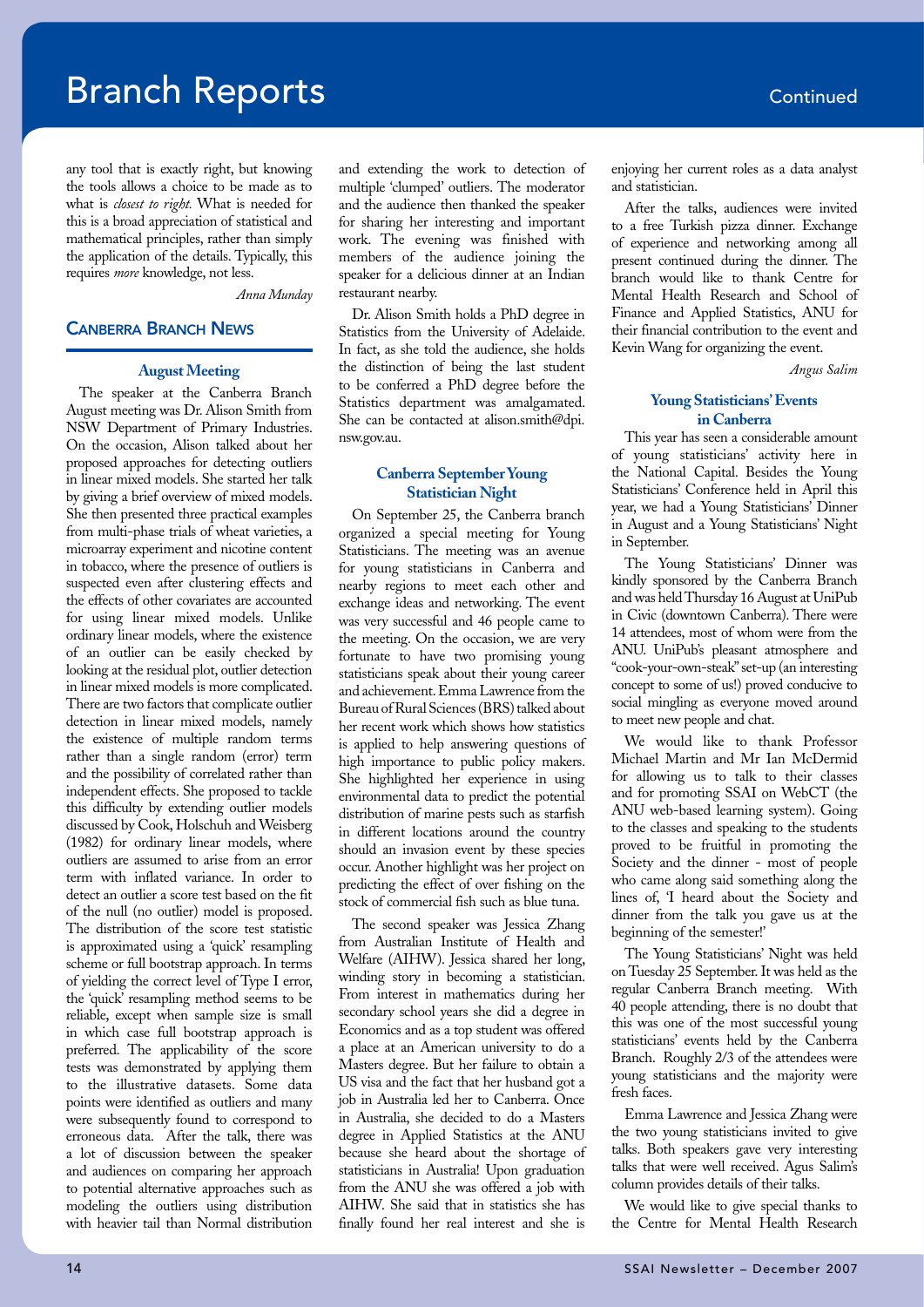### **Branch Reports Continued**

any tool that is exactly right, but knowing the tools allows a choice to be made as to what is *closest to right.* What is needed for this is a broad appreciation of statistical and mathematical principles, rather than simply the application of the details. Typically, this requires *more* knowledge, not less.

*Anna Munday*

#### Canberra Branch News

#### **August Meeting**

The speaker at the Canberra Branch August meeting was Dr. Alison Smith from NSW Department of Primary Industries. On the occasion, Alison talked about her proposed approaches for detecting outliers in linear mixed models. She started her talk by giving a brief overview of mixed models. She then presented three practical examples from multi-phase trials of wheat varieties, a microarray experiment and nicotine content in tobacco, where the presence of outliers is suspected even after clustering effects and the effects of other covariates are accounted for using linear mixed models. Unlike ordinary linear models, where the existence of an outlier can be easily checked by looking at the residual plot, outlier detection in linear mixed models is more complicated. There are two factors that complicate outlier detection in linear mixed models, namely the existence of multiple random terms rather than a single random (error) term and the possibility of correlated rather than independent effects. She proposed to tackle this difficulty by extending outlier models discussed by Cook, Holschuh and Weisberg (1982) for ordinary linear models, where outliers are assumed to arise from an error term with inflated variance. In order to detect an outlier a score test based on the fit of the null (no outlier) model is proposed. The distribution of the score test statistic is approximated using a 'quick' resampling scheme or full bootstrap approach. In terms of yielding the correct level of Type I error, the 'quick' resampling method seems to be reliable, except when sample size is small in which case full bootstrap approach is preferred. The applicability of the score tests was demonstrated by applying them to the illustrative datasets. Some data points were identified as outliers and many were subsequently found to correspond to erroneous data. After the talk, there was a lot of discussion between the speaker and audiences on comparing her approach to potential alternative approaches such as modeling the outliers using distribution with heavier tail than Normal distribution

and extending the work to detection of multiple 'clumped' outliers. The moderator and the audience then thanked the speaker for sharing her interesting and important work. The evening was finished with members of the audience joining the speaker for a delicious dinner at an Indian restaurant nearby.

Dr. Alison Smith holds a PhD degree in Statistics from the University of Adelaide. In fact, as she told the audience, she holds the distinction of being the last student to be conferred a PhD degree before the Statistics department was amalgamated. She can be contacted at alison.smith@dpi. nsw.gov.au.

#### **Canberra September Young Statistician Night**

On September 25, the Canberra branch organized a special meeting for Young Statisticians. The meeting was an avenue for young statisticians in Canberra and nearby regions to meet each other and exchange ideas and networking. The event was very successful and 46 people came to the meeting. On the occasion, we are very fortunate to have two promising young statisticians speak about their young career and achievement. Emma Lawrence from the Bureau of Rural Sciences (BRS) talked about her recent work which shows how statistics is applied to help answering questions of high importance to public policy makers. She highlighted her experience in using environmental data to predict the potential distribution of marine pests such as starfish in different locations around the country should an invasion event by these species occur. Another highlight was her project on predicting the effect of over fishing on the stock of commercial fish such as blue tuna.

The second speaker was Jessica Zhang from Australian Institute of Health and Welfare (AIHW). Jessica shared her long, winding story in becoming a statistician. From interest in mathematics during her secondary school years she did a degree in Economics and as a top student was offered a place at an American university to do a Masters degree. But her failure to obtain a US visa and the fact that her husband got a job in Australia led her to Canberra. Once in Australia, she decided to do a Masters degree in Applied Statistics at the ANU because she heard about the shortage of statisticians in Australia! Upon graduation from the ANU she was offered a job with AIHW. She said that in statistics she has finally found her real interest and she is

enjoying her current roles as a data analyst and statistician.

After the talks, audiences were invited to a free Turkish pizza dinner. Exchange of experience and networking among all present continued during the dinner. The branch would like to thank Centre for Mental Health Research and School of Finance and Applied Statistics, ANU for their financial contribution to the event and Kevin Wang for organizing the event.

*Angus Salim* 

### **Young Statisticians' Events in Canberra**

This year has seen a considerable amount of young statisticians' activity here in the National Capital. Besides the Young Statisticians' Conference held in April this year, we had a Young Statisticians' Dinner in August and a Young Statisticians' Night in September.

The Young Statisticians' Dinner was kindly sponsored by the Canberra Branch and was held Thursday 16 August at UniPub in Civic (downtown Canberra). There were 14 attendees, most of whom were from the ANU. UniPub's pleasant atmosphere and "cook-your-own-steak" set-up (an interesting concept to some of us!) proved conducive to social mingling as everyone moved around to meet new people and chat.

We would like to thank Professor Michael Martin and Mr Ian McDermid for allowing us to talk to their classes and for promoting SSAI on WebCT (the ANU web-based learning system). Going to the classes and speaking to the students proved to be fruitful in promoting the Society and the dinner - most of people who came along said something along the lines of, 'I heard about the Society and dinner from the talk you gave us at the beginning of the semester!'

The Young Statisticians' Night was held on Tuesday 25 September. It was held as the regular Canberra Branch meeting. With 40 people attending, there is no doubt that this was one of the most successful young statisticians' events held by the Canberra Branch. Roughly 2/3 of the attendees were young statisticians and the majority were fresh faces.

Emma Lawrence and Jessica Zhang were the two young statisticians invited to give talks. Both speakers gave very interesting talks that were well received. Agus Salim's column provides details of their talks.

We would like to give special thanks to the Centre for Mental Health Research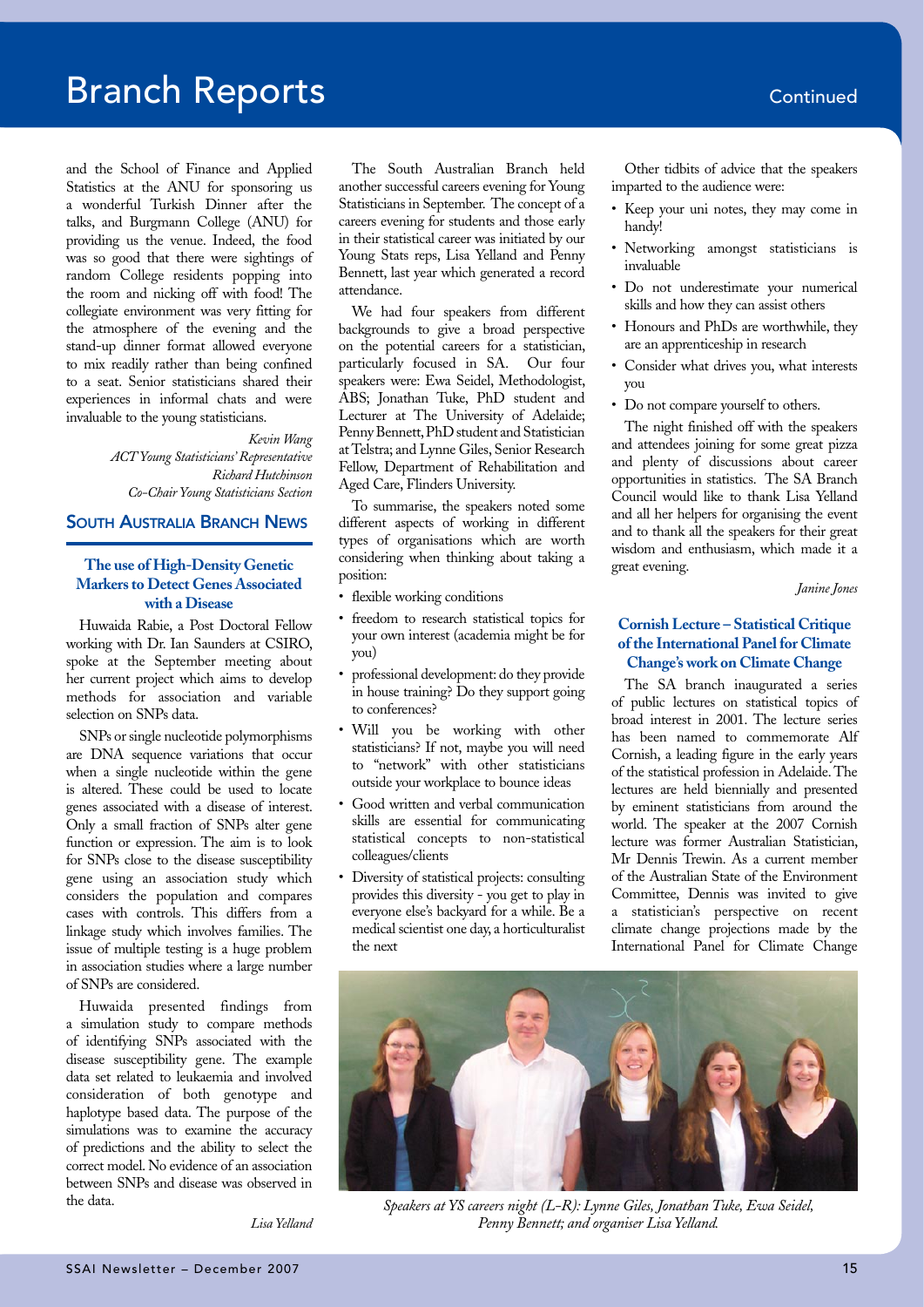### **Branch Reports Continued**

and the School of Finance and Applied Statistics at the ANU for sponsoring us a wonderful Turkish Dinner after the talks, and Burgmann College (ANU) for providing us the venue. Indeed, the food was so good that there were sightings of random College residents popping into the room and nicking off with food! The collegiate environment was very fitting for the atmosphere of the evening and the stand-up dinner format allowed everyone to mix readily rather than being confined to a seat. Senior statisticians shared their experiences in informal chats and were invaluable to the young statisticians.

#### *Kevin Wang*

*ACT Young Statisticians' Representative Richard Hutchinson Co-Chair Young Statisticians Section*

#### South Australia Branch News

### **The use of High-Density Genetic Markers to Detect Genes Associated with a Disease**

Huwaida Rabie, a Post Doctoral Fellow working with Dr. Ian Saunders at CSIRO, spoke at the September meeting about her current project which aims to develop methods for association and variable selection on SNPs data.

SNPs or single nucleotide polymorphisms are DNA sequence variations that occur when a single nucleotide within the gene is altered. These could be used to locate genes associated with a disease of interest. Only a small fraction of SNPs alter gene function or expression. The aim is to look for SNPs close to the disease susceptibility gene using an association study which considers the population and compares cases with controls. This differs from a linkage study which involves families. The issue of multiple testing is a huge problem in association studies where a large number of SNPs are considered.

Huwaida presented findings from a simulation study to compare methods of identifying SNPs associated with the disease susceptibility gene. The example data set related to leukaemia and involved consideration of both genotype and haplotype based data. The purpose of the simulations was to examine the accuracy of predictions and the ability to select the correct model. No evidence of an association between SNPs and disease was observed in the data.

The South Australian Branch held another successful careers evening for Young Statisticians in September. The concept of a careers evening for students and those early in their statistical career was initiated by our Young Stats reps, Lisa Yelland and Penny Bennett, last year which generated a record attendance.

We had four speakers from different backgrounds to give a broad perspective on the potential careers for a statistician, particularly focused in SA. Our four speakers were: Ewa Seidel, Methodologist, ABS; Jonathan Tuke, PhD student and Lecturer at The University of Adelaide; Penny Bennett, PhD student and Statistician at Telstra; and Lynne Giles, Senior Research Fellow, Department of Rehabilitation and Aged Care, Flinders University.

To summarise, the speakers noted some different aspects of working in different types of organisations which are worth considering when thinking about taking a position:

- flexible working conditions
- freedom to research statistical topics for your own interest (academia might be for you)
- professional development: do they provide in house training? Do they support going to conferences?
- Will you be working with other statisticians? If not, maybe you will need to "network" with other statisticians outside your workplace to bounce ideas
- Good written and verbal communication skills are essential for communicating statistical concepts to non-statistical colleagues/clients
- Diversity of statistical projects: consulting provides this diversity - you get to play in everyone else's backyard for a while. Be a medical scientist one day, a horticulturalist the next

Other tidbits of advice that the speakers imparted to the audience were:

- Keep your uni notes, they may come in handy!
- Networking amongst statisticians is invaluable
- Do not underestimate your numerical skills and how they can assist others
- Honours and PhDs are worthwhile, they are an apprenticeship in research
- Consider what drives you, what interests you
- Do not compare yourself to others.

The night finished off with the speakers and attendees joining for some great pizza and plenty of discussions about career opportunities in statistics. The SA Branch Council would like to thank Lisa Yelland and all her helpers for organising the event and to thank all the speakers for their great wisdom and enthusiasm, which made it a great evening.

*Janine Jones*

### **Cornish Lecture – Statistical Critique of the International Panel for Climate Change's work on Climate Change**

The SA branch inaugurated a series of public lectures on statistical topics of broad interest in 2001. The lecture series has been named to commemorate Alf Cornish, a leading figure in the early years of the statistical profession in Adelaide. The lectures are held biennially and presented by eminent statisticians from around the world. The speaker at the 2007 Cornish lecture was former Australian Statistician, Mr Dennis Trewin. As a current member of the Australian State of the Environment Committee, Dennis was invited to give a statistician's perspective on recent climate change projections made by the International Panel for Climate Change



*Speakers at YS careers night (L-R): Lynne Giles, Jonathan Tuke, Ewa Seidel, Penny Bennett; and organiser Lisa Yelland.*

*Lisa Yelland*